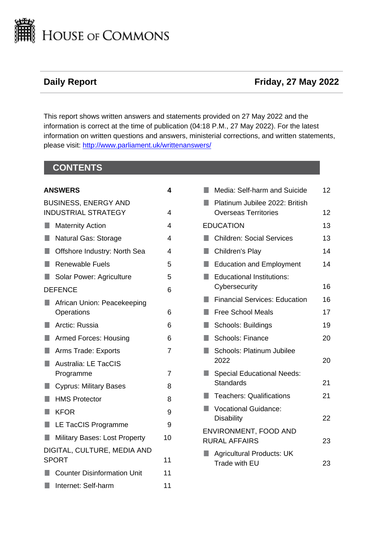

# **Daily Report CONSUMING CONSUMING CONSUMING CONSUMING CONSUMING CONSUMING CONSUMING CONSUMING CONSUMING CONSUMING CONSUMING CONSUMING CONSUMING CONSUMING CONSUMING CONSUMING CONSUMING CONSUMING CONSUMING CONSUMING CONSUM**

This report shows written answers and statements provided on 27 May 2022 and the information is correct at the time of publication (04:18 P.M., 27 May 2022). For the latest information on written questions and answers, ministerial corrections, and written statements, please visit: [http://www.parliament.uk/writtenanswers/](http://www.parliament.uk/writtenanswers)

# **CONTENTS**

| <b>ANSWERS</b>                              |                                                           | 4              |
|---------------------------------------------|-----------------------------------------------------------|----------------|
|                                             | <b>BUSINESS, ENERGY AND</b><br><b>INDUSTRIAL STRATEGY</b> | 4              |
|                                             | <b>Maternity Action</b>                                   | 4              |
| $\Box$                                      | Natural Gas: Storage                                      | 4              |
| U,                                          | Offshore Industry: North Sea                              | 4              |
| $\Box$                                      | <b>Renewable Fuels</b>                                    | 5              |
| ٠                                           | Solar Power: Agriculture                                  | 5              |
|                                             | <b>DEFENCE</b>                                            | 6              |
| H.                                          | African Union: Peacekeeping<br>Operations                 | 6              |
| a a                                         | Arctic: Russia                                            | 6              |
| $\Box$                                      | <b>Armed Forces: Housing</b>                              | 6              |
| П                                           | Arms Trade: Exports                                       | $\overline{7}$ |
| П                                           | <b>Australia: LE TacCIS</b><br>Programme                  | 7              |
| u.                                          | <b>Cyprus: Military Bases</b>                             | 8              |
| <b>I</b>                                    | <b>HMS Protector</b>                                      | 8              |
| H.                                          | <b>KFOR</b>                                               | 9              |
| H.                                          | LE TacCIS Programme                                       | 9              |
|                                             | <b>Military Bases: Lost Property</b>                      | 10             |
| DIGITAL, CULTURE, MEDIA AND<br><b>SPORT</b> |                                                           | 11             |
|                                             | <b>Counter Disinformation Unit</b>                        | 11             |
| T.                                          | Internet: Self-harm                                       | 11             |
|                                             |                                                           |                |

|                            | Media: Self-harm and Suicide         | 12 |  |
|----------------------------|--------------------------------------|----|--|
|                            | Platinum Jubilee 2022: British       |    |  |
|                            | <b>Overseas Territories</b>          | 12 |  |
|                            | <b>EDUCATION</b>                     | 13 |  |
|                            | <b>Children: Social Services</b>     | 13 |  |
|                            | Children's Play                      | 14 |  |
|                            | <b>Education and Employment</b>      | 14 |  |
|                            | <b>Educational Institutions:</b>     |    |  |
|                            | Cybersecurity                        | 16 |  |
|                            | <b>Financial Services: Education</b> | 16 |  |
|                            | <b>Free School Meals</b>             | 17 |  |
|                            | Schools: Buildings                   | 19 |  |
|                            | <b>Schools: Finance</b>              | 20 |  |
|                            | Schools: Platinum Jubilee            |    |  |
|                            | 2022                                 | 20 |  |
|                            | <b>Special Educational Needs:</b>    |    |  |
|                            | <b>Standards</b>                     | 21 |  |
|                            | <b>Teachers: Qualifications</b>      | 21 |  |
|                            | <b>Vocational Guidance:</b>          |    |  |
|                            | <b>Disability</b>                    | 22 |  |
| ENVIRONMENT, FOOD AND      |                                      |    |  |
| <b>RURAL AFFAIRS</b><br>23 |                                      |    |  |
|                            | <b>Agricultural Products: UK</b>     |    |  |
|                            | Trade with EU                        | 23 |  |
|                            |                                      |    |  |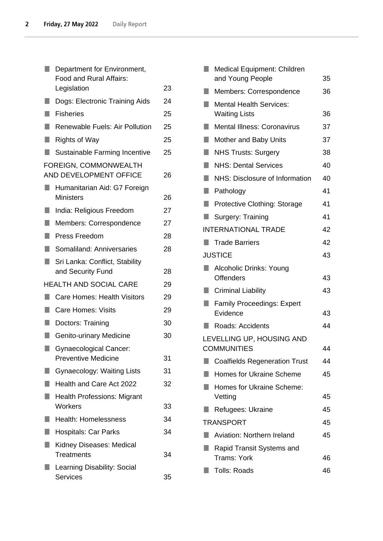|    | Department for Environment,<br>Food and Rural Affairs:      |    |
|----|-------------------------------------------------------------|----|
|    | Legislation                                                 | 23 |
|    | Dogs: Electronic Training Aids                              | 24 |
| ٠  | <b>Fisheries</b>                                            | 25 |
| ٠  | <b>Renewable Fuels: Air Pollution</b>                       | 25 |
|    | <b>Rights of Way</b>                                        | 25 |
| п  | Sustainable Farming Incentive                               | 25 |
|    | FOREIGN, COMMONWEALTH<br>AND DEVELOPMENT OFFICE             | 26 |
|    | Humanitarian Aid: G7 Foreign<br><b>Ministers</b>            | 26 |
|    | India: Religious Freedom                                    | 27 |
| ٠  | Members: Correspondence                                     | 27 |
| ×. | Press Freedom                                               | 28 |
| ٠  | Somaliland: Anniversaries                                   | 28 |
| ٠  | Sri Lanka: Conflict, Stability<br>and Security Fund         | 28 |
|    | <b>HEALTH AND SOCIAL CARE</b>                               | 29 |
|    | <b>Care Homes: Health Visitors</b>                          | 29 |
|    | <b>Care Homes: Visits</b>                                   | 29 |
|    | Doctors: Training                                           | 30 |
|    | Genito-urinary Medicine                                     | 30 |
|    | <b>Gynaecological Cancer:</b><br><b>Preventive Medicine</b> | 31 |
|    | <b>Gynaecology: Waiting Lists</b>                           | 31 |
|    | Health and Care Act 2022                                    | 32 |
|    | <b>Health Professions: Migrant</b><br>Workers               | 33 |
|    | <b>Health: Homelessness</b>                                 | 34 |
|    | <b>Hospitals: Car Parks</b>                                 | 34 |
|    | Kidney Diseases: Medical<br><b>Treatments</b>               | 34 |
|    | Learning Disability: Social<br><b>Services</b>              | 35 |

|                           | <b>Medical Equipment: Children</b>                     |    |  |
|---------------------------|--------------------------------------------------------|----|--|
|                           | and Young People                                       | 35 |  |
|                           | Members: Correspondence                                | 36 |  |
| ۰                         | <b>Mental Health Services:</b><br><b>Waiting Lists</b> | 36 |  |
|                           | <b>Mental Illness: Coronavirus</b>                     | 37 |  |
|                           | Mother and Baby Units                                  | 37 |  |
| ٠                         | <b>NHS Trusts: Surgery</b>                             | 38 |  |
| ŋ                         | <b>NHS: Dental Services</b>                            | 40 |  |
| ٠                         | NHS: Disclosure of Information                         | 40 |  |
| $\Box$                    | Pathology                                              | 41 |  |
| ٠                         | Protective Clothing: Storage                           | 41 |  |
| ٠                         | Surgery: Training                                      | 41 |  |
|                           | <b>INTERNATIONAL TRADE</b>                             | 42 |  |
|                           | <b>Trade Barriers</b>                                  | 42 |  |
|                           | <b>JUSTICE</b>                                         | 43 |  |
|                           | Alcoholic Drinks: Young<br><b>Offenders</b>            | 43 |  |
|                           | <b>Criminal Liability</b>                              | 43 |  |
| ٠                         | <b>Family Proceedings: Expert</b><br>Evidence          | 43 |  |
| ٠                         | Roads: Accidents                                       | 44 |  |
| LEVELLING UP, HOUSING AND |                                                        |    |  |
|                           | <b>COMMUNITIES</b>                                     | 44 |  |
|                           | <b>Coalfields Regeneration Trust</b>                   | 44 |  |
|                           | <b>Homes for Ukraine Scheme</b>                        | 45 |  |
|                           | Homes for Ukraine Scheme:<br>Vetting                   | 45 |  |
|                           | Refugees: Ukraine                                      | 45 |  |
|                           | <b>TRANSPORT</b>                                       | 45 |  |
|                           | Aviation: Northern Ireland                             | 45 |  |
|                           | Rapid Transit Systems and<br>Trams: York               | 46 |  |
|                           | <b>Tolls: Roads</b>                                    | 46 |  |
|                           |                                                        |    |  |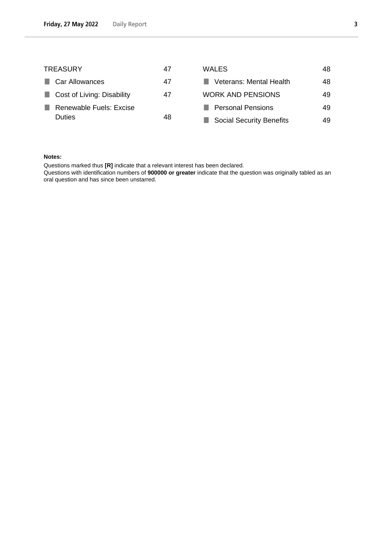| <b>TREASURY</b>               | 47 | <b>WALES</b>                    | 48 |
|-------------------------------|----|---------------------------------|----|
| <b>Car Allowances</b>         | 47 | <b>Veterans: Mental Health</b>  | 48 |
| Cost of Living: Disability    | 47 | <b>WORK AND PENSIONS</b>        | 49 |
| Renewable Fuels: Excise<br>n. |    | <b>Personal Pensions</b>        | 49 |
| <b>Duties</b>                 | 48 | <b>Social Security Benefits</b> | 49 |

#### **Notes:**

Questions marked thus **[R]** indicate that a relevant interest has been declared.

Questions with identification numbers of **900000 or greater** indicate that the question was originally tabled as an oral question and has since been unstarred.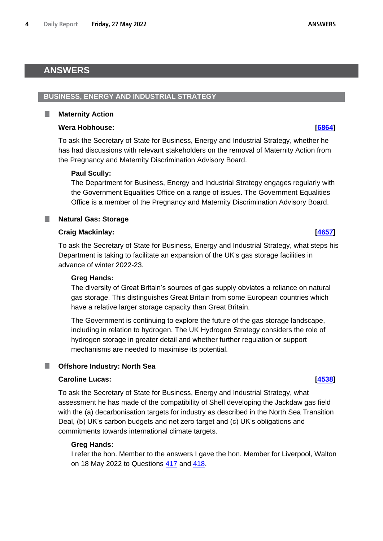# <span id="page-3-0"></span>**ANSWERS**

<span id="page-3-2"></span>ш

### <span id="page-3-1"></span>**BUSINESS, ENERGY AND INDUSTRIAL STRATEGY**

### **Maternity Action**

### **Wera Hobhouse: [\[6864\]](http://www.parliament.uk/business/publications/written-questions-answers-statements/written-question/Commons/2022-05-23/6864)**

To ask the Secretary of State for Business, Energy and Industrial Strategy, whether he has had discussions with relevant stakeholders on the removal of Maternity Action from the Pregnancy and Maternity Discrimination Advisory Board.

### **Paul Scully:**

The Department for Business, Energy and Industrial Strategy engages regularly with the Government Equalities Office on a range of issues. The Government Equalities Office is a member of the Pregnancy and Maternity Discrimination Advisory Board.

#### <span id="page-3-3"></span>**Natural Gas: Storage** ш

### **Craig Mackinlay: [\[4657\]](http://www.parliament.uk/business/publications/written-questions-answers-statements/written-question/Commons/2022-05-18/4657)**

To ask the Secretary of State for Business, Energy and Industrial Strategy, what steps his Department is taking to facilitate an expansion of the UK's gas storage facilities in advance of winter 2022-23.

### **Greg Hands:**

The diversity of Great Britain's sources of gas supply obviates a reliance on natural gas storage. This distinguishes Great Britain from some European countries which have a relative larger storage capacity than Great Britain.

The Government is continuing to explore the future of the gas storage landscape, including in relation to hydrogen. The UK Hydrogen Strategy considers the role of hydrogen storage in greater detail and whether further regulation or support mechanisms are needed to maximise its potential.

## <span id="page-3-4"></span>**Offshore Industry: North Sea**

## **Caroline Lucas: [\[4538\]](http://www.parliament.uk/business/publications/written-questions-answers-statements/written-question/Commons/2022-05-18/4538)**

To ask the Secretary of State for Business, Energy and Industrial Strategy, what assessment he has made of the compatibility of Shell developing the Jackdaw gas field with the (a) decarbonisation targets for industry as described in the North Sea Transition Deal, (b) UK's carbon budgets and net zero target and (c) UK's obligations and commitments towards international climate targets.

### **Greg Hands:**

I refer the hon. Member to the answers I gave the hon. Member for Liverpool, Walton on 18 May 2022 to Questions [417](https://questions-statements.parliament.uk/written-questions/detail/2022-05-10/417) and [418.](https://questions-statements.parliament.uk/written-questions/detail/2022-05-10/418)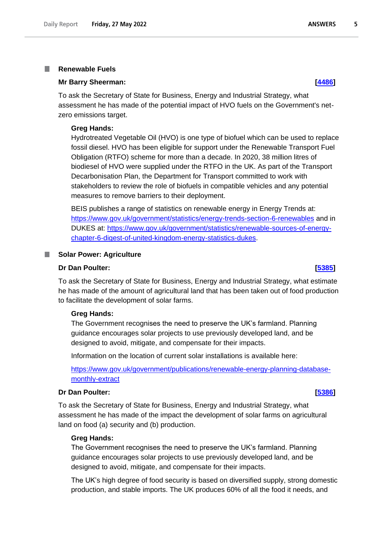#### <span id="page-4-0"></span>**Renewable Fuels** T.

#### **Mr Barry Sheerman: [\[4486\]](http://www.parliament.uk/business/publications/written-questions-answers-statements/written-question/Commons/2022-05-18/4486)**

To ask the Secretary of State for Business, Energy and Industrial Strategy, what assessment he has made of the potential impact of HVO fuels on the Government's netzero emissions target.

#### **Greg Hands:**

Hydrotreated Vegetable Oil (HVO) is one type of biofuel which can be used to replace fossil diesel. HVO has been eligible for support under the Renewable Transport Fuel Obligation (RTFO) scheme for more than a decade. In 2020, 38 million litres of biodiesel of HVO were supplied under the RTFO in the UK. As part of the Transport Decarbonisation Plan, the Department for Transport committed to work with stakeholders to review the role of biofuels in compatible vehicles and any potential measures to remove barriers to their deployment.

BEIS publishes a range of statistics on renewable energy in Energy Trends at: [https://www.gov.uk/government/statistics/energy-trends-section-6-renewables](https://eur02.safelinks.protection.outlook.com/?url=https%3A%2F%2Fwww.gov.uk%2Fgovernment%2Fstatistics%2Fenergy-trends-section-6-renewables&data=05%7C01%7Ccarbonbudgets%40beis.gov.uk%7C73e3a74ecbda4b4aa66b08da3c9211fd%7Ccbac700502c143ebb497e6492d1b2dd8%7C0%7C0%7C637888896374714798%7CUnknown%7CTWFpbGZsb3d8eyJWIjoiMC4wLjAwMDAiLCJQIjoiV2luMzIiLCJBTiI6Ik1haWwiLCJXVCI6Mn0%3D%7C3000%7C%7C%7C&sdata=ffn9OAnFtQT7KArmrv6JWIpbDjbGDVMe3fwqMauGo7M%3D&reserved=0) and in DUKES at: [https://www.gov.uk/government/statistics/renewable-sources-of-energy](https://eur02.safelinks.protection.outlook.com/?url=https%3A%2F%2Fwww.gov.uk%2Fgovernment%2Fstatistics%2Frenewable-sources-of-energy-chapter-6-digest-of-united-kingdom-energy-statistics-dukes&data=05%7C01%7Ccarbonbudgets%40beis.gov.uk%7C73e3a74ecbda4b4aa66b08da3c9211fd%7Ccbac700502c143ebb497e6492d1b2dd8%7C0%7C0%7C637888896374714798%7CUnknown%7CTWFpbGZsb3d8eyJWIjoiMC4wLjAwMDAiLCJQIjoiV2luMzIiLCJBTiI6Ik1haWwiLCJXVCI6Mn0%3D%7C3000%7C%7C%7C&sdata=JJTHkFQMqPNcS3UdP%2Fzt4z048eA%2BX0MBO1TOLL%2BiQ0I%3D&reserved=0)[chapter-6-digest-of-united-kingdom-energy-statistics-dukes.](https://eur02.safelinks.protection.outlook.com/?url=https%3A%2F%2Fwww.gov.uk%2Fgovernment%2Fstatistics%2Frenewable-sources-of-energy-chapter-6-digest-of-united-kingdom-energy-statistics-dukes&data=05%7C01%7Ccarbonbudgets%40beis.gov.uk%7C73e3a74ecbda4b4aa66b08da3c9211fd%7Ccbac700502c143ebb497e6492d1b2dd8%7C0%7C0%7C637888896374714798%7CUnknown%7CTWFpbGZsb3d8eyJWIjoiMC4wLjAwMDAiLCJQIjoiV2luMzIiLCJBTiI6Ik1haWwiLCJXVCI6Mn0%3D%7C3000%7C%7C%7C&sdata=JJTHkFQMqPNcS3UdP%2Fzt4z048eA%2BX0MBO1TOLL%2BiQ0I%3D&reserved=0)

### <span id="page-4-1"></span>**No. 3 Solar Power: Agriculture**

#### **Dr Dan Poulter: [\[5385\]](http://www.parliament.uk/business/publications/written-questions-answers-statements/written-question/Commons/2022-05-19/5385)**

To ask the Secretary of State for Business, Energy and Industrial Strategy, what estimate he has made of the amount of agricultural land that has been taken out of food production to facilitate the development of solar farms.

#### **Greg Hands:**

The Government recognises the need to preserve the UK's farmland. Planning guidance encourages solar projects to use previously developed land, and be designed to avoid, mitigate, and compensate for their impacts.

Information on the location of current solar installations is available here:

[https://www.gov.uk/government/publications/renewable-energy-planning-database](https://eur02.safelinks.protection.outlook.com/?url=https%3A%2F%2Fwww.gov.uk%2Fgovernment%2Fpublications%2Frenewable-energy-planning-database-monthly-extract&data=05%7C01%7CBoris.Rogatchevski%40beis.gov.uk%7Cddd0f99e87734cc0be1d08da2d1337da%7Ccbac700502c143ebb497e6492d1b2dd8%7C0%7C0%7C637871857804549523%7CUnknown%7CTWFpbGZsb3d8eyJWIjoiMC4wLjAwMDAiLCJQIjoiV2luMzIiLCJBTiI6Ik1haWwiLCJXVCI6Mn0%3D%7C3000%7C%7C%7C&sdata=hqgpl5phbon63WrOudU7QFEMTUFzlcdwlEbzFaMBxTY%3D&reserved=0)[monthly-extract](https://eur02.safelinks.protection.outlook.com/?url=https%3A%2F%2Fwww.gov.uk%2Fgovernment%2Fpublications%2Frenewable-energy-planning-database-monthly-extract&data=05%7C01%7CBoris.Rogatchevski%40beis.gov.uk%7Cddd0f99e87734cc0be1d08da2d1337da%7Ccbac700502c143ebb497e6492d1b2dd8%7C0%7C0%7C637871857804549523%7CUnknown%7CTWFpbGZsb3d8eyJWIjoiMC4wLjAwMDAiLCJQIjoiV2luMzIiLCJBTiI6Ik1haWwiLCJXVCI6Mn0%3D%7C3000%7C%7C%7C&sdata=hqgpl5phbon63WrOudU7QFEMTUFzlcdwlEbzFaMBxTY%3D&reserved=0)

#### **Dr Dan Poulter: [\[5386\]](http://www.parliament.uk/business/publications/written-questions-answers-statements/written-question/Commons/2022-05-19/5386)**

To ask the Secretary of State for Business, Energy and Industrial Strategy, what assessment he has made of the impact the development of solar farms on agricultural land on food (a) security and (b) production.

#### **Greg Hands:**

The Government recognises the need to preserve the UK's farmland. Planning guidance encourages solar projects to use previously developed land, and be designed to avoid, mitigate, and compensate for their impacts.

The UK's high degree of food security is based on diversified supply, strong domestic production, and stable imports. The UK produces 60% of all the food it needs, and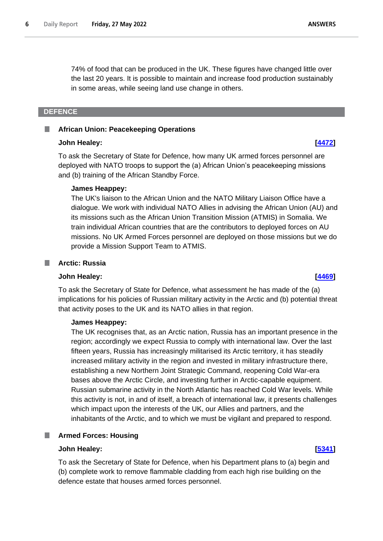74% of food that can be produced in the UK. These figures have changed little over the last 20 years. It is possible to maintain and increase food production sustainably in some areas, while seeing land use change in others.

#### <span id="page-5-0"></span>**DEFENCE**

#### <span id="page-5-1"></span>**I African Union: Peacekeeping Operations**

#### **John Healey: [\[4472\]](http://www.parliament.uk/business/publications/written-questions-answers-statements/written-question/Commons/2022-05-18/4472)**

To ask the Secretary of State for Defence, how many UK armed forces personnel are deployed with NATO troops to support the (a) African Union's peacekeeping missions and (b) training of the African Standby Force.

#### **James Heappey:**

The UK's liaison to the African Union and the NATO Military Liaison Office have a dialogue. We work with individual NATO Allies in advising the African Union (AU) and its missions such as the African Union Transition Mission (ATMIS) in Somalia. We train individual African countries that are the contributors to deployed forces on AU missions. No UK Armed Forces personnel are deployed on those missions but we do provide a Mission Support Team to ATMIS.

### <span id="page-5-2"></span>**Arctic: Russia**

#### **John Healey: [\[4469\]](http://www.parliament.uk/business/publications/written-questions-answers-statements/written-question/Commons/2022-05-18/4469)**

To ask the Secretary of State for Defence, what assessment he has made of the (a) implications for his policies of Russian military activity in the Arctic and (b) potential threat that activity poses to the UK and its NATO allies in that region.

### **James Heappey:**

The UK recognises that, as an Arctic nation, Russia has an important presence in the region; accordingly we expect Russia to comply with international law. Over the last fifteen years, Russia has increasingly militarised its Arctic territory, it has steadily increased military activity in the region and invested in military infrastructure there, establishing a new Northern Joint Strategic Command, reopening Cold War-era bases above the Arctic Circle, and investing further in Arctic-capable equipment. Russian submarine activity in the North Atlantic has reached Cold War levels. While this activity is not, in and of itself, a breach of international law, it presents challenges which impact upon the interests of the UK, our Allies and partners, and the inhabitants of the Arctic, and to which we must be vigilant and prepared to respond.

#### <span id="page-5-3"></span>a a s **Armed Forces: Housing**

### **John Healey: [\[5341\]](http://www.parliament.uk/business/publications/written-questions-answers-statements/written-question/Commons/2022-05-19/5341)**

To ask the Secretary of State for Defence, when his Department plans to (a) begin and (b) complete work to remove flammable cladding from each high rise building on the defence estate that houses armed forces personnel.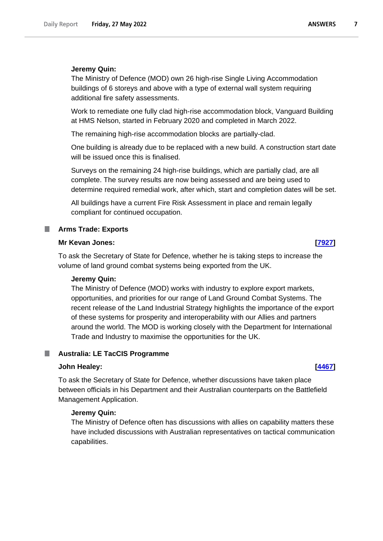The Ministry of Defence (MOD) own 26 high-rise Single Living Accommodation buildings of 6 storeys and above with a type of external wall system requiring additional fire safety assessments.

Work to remediate one fully clad high-rise accommodation block, Vanguard Building at HMS Nelson, started in February 2020 and completed in March 2022.

The remaining high-rise accommodation blocks are partially-clad.

One building is already due to be replaced with a new build. A construction start date will be issued once this is finalised.

Surveys on the remaining 24 high-rise buildings, which are partially clad, are all complete. The survey results are now being assessed and are being used to determine required remedial work, after which, start and completion dates will be set.

All buildings have a current Fire Risk Assessment in place and remain legally compliant for continued occupation.

### <span id="page-6-0"></span>**Arms Trade: Exports**

#### **Mr Kevan Jones: [\[7927\]](http://www.parliament.uk/business/publications/written-questions-answers-statements/written-question/Commons/2022-05-24/7927)**

To ask the Secretary of State for Defence, whether he is taking steps to increase the volume of land ground combat systems being exported from the UK.

#### **Jeremy Quin:**

The Ministry of Defence (MOD) works with industry to explore export markets, opportunities, and priorities for our range of Land Ground Combat Systems. The recent release of the Land Industrial Strategy highlights the importance of the export of these systems for prosperity and interoperability with our Allies and partners around the world. The MOD is working closely with the Department for International Trade and Industry to maximise the opportunities for the UK.

#### <span id="page-6-1"></span>**Australia: LE TacCIS Programme** .

#### **John Healey: [\[4467\]](http://www.parliament.uk/business/publications/written-questions-answers-statements/written-question/Commons/2022-05-18/4467)**

To ask the Secretary of State for Defence, whether discussions have taken place between officials in his Department and their Australian counterparts on the Battlefield Management Application.

#### **Jeremy Quin:**

The Ministry of Defence often has discussions with allies on capability matters these have included discussions with Australian representatives on tactical communication capabilities.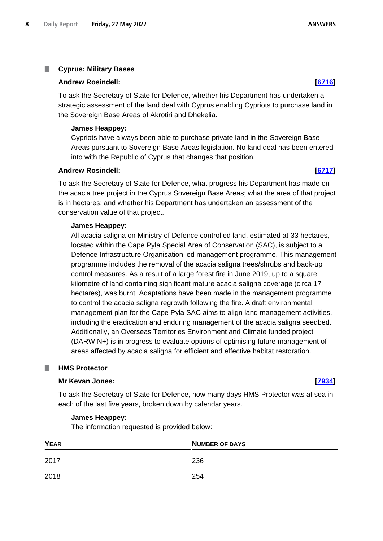#### <span id="page-7-0"></span>T. **Cyprus: Military Bases**

#### **Andrew Rosindell: [\[6716\]](http://www.parliament.uk/business/publications/written-questions-answers-statements/written-question/Commons/2022-05-23/6716)**

To ask the Secretary of State for Defence, whether his Department has undertaken a strategic assessment of the land deal with Cyprus enabling Cypriots to purchase land in the Sovereign Base Areas of Akrotiri and Dhekelia.

#### **James Heappey:**

Cypriots have always been able to purchase private land in the Sovereign Base Areas pursuant to Sovereign Base Areas legislation. No land deal has been entered into with the Republic of Cyprus that changes that position.

#### **Andrew Rosindell: [\[6717\]](http://www.parliament.uk/business/publications/written-questions-answers-statements/written-question/Commons/2022-05-23/6717)**

To ask the Secretary of State for Defence, what progress his Department has made on the acacia tree project in the Cyprus Sovereign Base Areas; what the area of that project is in hectares; and whether his Department has undertaken an assessment of the conservation value of that project.

#### **James Heappey:**

All acacia saligna on Ministry of Defence controlled land, estimated at 33 hectares, located within the Cape Pyla Special Area of Conservation (SAC), is subject to a Defence Infrastructure Organisation led management programme. This management programme includes the removal of the acacia saligna trees/shrubs and back-up control measures. As a result of a large forest fire in June 2019, up to a square kilometre of land containing significant mature acacia saligna coverage (circa 17 hectares), was burnt. Adaptations have been made in the management programme to control the acacia saligna regrowth following the fire. A draft environmental management plan for the Cape Pyla SAC aims to align land management activities, including the eradication and enduring management of the acacia saligna seedbed. Additionally, an Overseas Territories Environment and Climate funded project (DARWIN+) is in progress to evaluate options of optimising future management of areas affected by acacia saligna for efficient and effective habitat restoration.

#### <span id="page-7-1"></span>**HMS Protector**

#### **Mr Kevan Jones: [\[7934\]](http://www.parliament.uk/business/publications/written-questions-answers-statements/written-question/Commons/2022-05-24/7934)**

To ask the Secretary of State for Defence, how many days HMS Protector was at sea in each of the last five years, broken down by calendar years.

#### **James Heappey:**

The information requested is provided below:

| <b>YEAR</b> | <b>NUMBER OF DAYS</b> |
|-------------|-----------------------|
| 2017        | 236                   |
| 2018        | 254                   |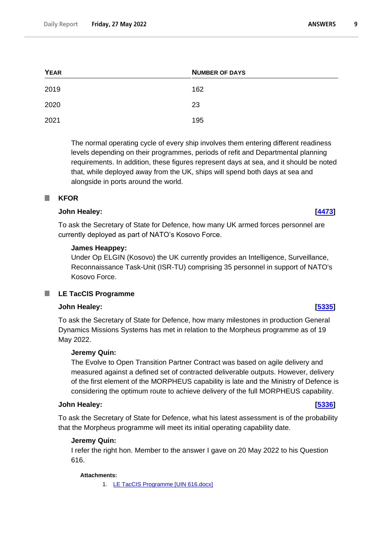| <b>YEAR</b> | <b>NUMBER OF DAYS</b> |
|-------------|-----------------------|
| 2019        | 162                   |
| 2020        | 23                    |
| 2021        | 195                   |

The normal operating cycle of every ship involves them entering different readiness levels depending on their programmes, periods of refit and Departmental planning requirements. In addition, these figures represent days at sea, and it should be noted that, while deployed away from the UK, ships will spend both days at sea and alongside in ports around the world.

### <span id="page-8-0"></span>**KFOR**

### **John Healey: [\[4473\]](http://www.parliament.uk/business/publications/written-questions-answers-statements/written-question/Commons/2022-05-18/4473)**

To ask the Secretary of State for Defence, how many UK armed forces personnel are currently deployed as part of NATO's Kosovo Force.

### **James Heappey:**

Under Op ELGIN (Kosovo) the UK currently provides an Intelligence, Surveillance, Reconnaissance Task-Unit (ISR-TU) comprising 35 personnel in support of NATO's Kosovo Force.

## <span id="page-8-1"></span>**LE TacCIS Programme**

### **John Healey: [\[5335\]](http://www.parliament.uk/business/publications/written-questions-answers-statements/written-question/Commons/2022-05-19/5335)**

To ask the Secretary of State for Defence, how many milestones in production General Dynamics Missions Systems has met in relation to the Morpheus programme as of 19 May 2022.

### **Jeremy Quin:**

The Evolve to Open Transition Partner Contract was based on agile delivery and measured against a defined set of contracted deliverable outputs. However, delivery of the first element of the MORPHEUS capability is late and the Ministry of Defence is considering the optimum route to achieve delivery of the full MORPHEUS capability.

## **John Healey: [\[5336\]](http://www.parliament.uk/business/publications/written-questions-answers-statements/written-question/Commons/2022-05-19/5336)**

To ask the Secretary of State for Defence, what his latest assessment is of the probability that the Morpheus programme will meet its initial operating capability date.

### **Jeremy Quin:**

I refer the right hon. Member to the answer I gave on 20 May 2022 to his Question 616.

### **Attachments:**

1. [LE TacCIS Programme \[UIN 616.docx\]](https://qna.files.parliament.uk/qna-attachments/1464424/original/UIN%20616.docx)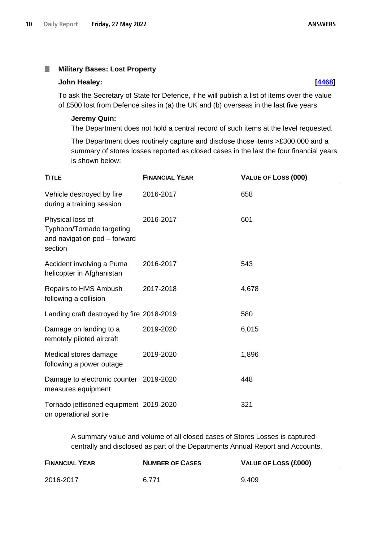#### <span id="page-9-0"></span>**Military Bases: Lost Property** П

#### **John Healey: [\[4468\]](http://www.parliament.uk/business/publications/written-questions-answers-statements/written-question/Commons/2022-05-18/4468)**

To ask the Secretary of State for Defence, if he will publish a list of items over the value of £500 lost from Defence sites in (a) the UK and (b) overseas in the last five years.

#### **Jeremy Quin:**

The Department does not hold a central record of such items at the level requested.

The Department does routinely capture and disclose those items >£300,000 and a summary of stores losses reported as closed cases in the last the four financial years is shown below:

| <b>TITLE</b>                                                                             | <b>FINANCIAL YEAR</b> | VALUE OF LOSS (000) |
|------------------------------------------------------------------------------------------|-----------------------|---------------------|
| Vehicle destroyed by fire<br>during a training session                                   | 2016-2017             | 658                 |
| Physical loss of<br>Typhoon/Tornado targeting<br>and navigation pod - forward<br>section | 2016-2017             | 601                 |
| Accident involving a Puma<br>helicopter in Afghanistan                                   | 2016-2017             | 543                 |
| Repairs to HMS Ambush<br>following a collision                                           | 2017-2018             | 4,678               |
| Landing craft destroyed by fire 2018-2019                                                |                       | 580                 |
| Damage on landing to a<br>remotely piloted aircraft                                      | 2019-2020             | 6,015               |
| Medical stores damage<br>following a power outage                                        | 2019-2020             | 1,896               |
| Damage to electronic counter 2019-2020<br>measures equipment                             |                       | 448                 |
| Tornado jettisoned equipment 2019-2020<br>on operational sortie                          |                       | 321                 |

A summary value and volume of all closed cases of Stores Losses is captured centrally and disclosed as part of the Departments Annual Report and Accounts.

| <b>FINANCIAL YEAR</b> | <b>NUMBER OF CASES</b> | VALUE OF LOSS (£000) |
|-----------------------|------------------------|----------------------|
| 2016-2017             | 6.771                  | 9.409                |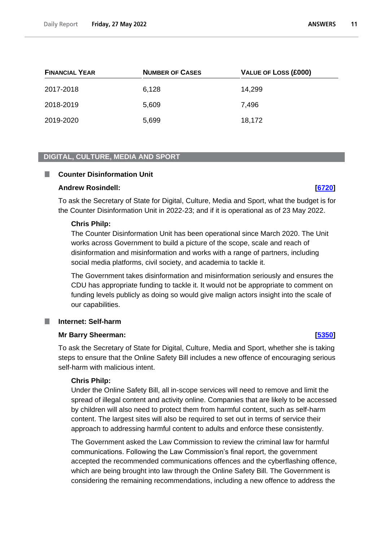| <b>FINANCIAL YEAR</b> | <b>NUMBER OF CASES</b> | <b>VALUE OF LOSS (£000)</b> |
|-----------------------|------------------------|-----------------------------|
| 2017-2018             | 6,128                  | 14,299                      |
| 2018-2019             | 5,609                  | 7,496                       |
| 2019-2020             | 5,699                  | 18,172                      |

#### <span id="page-10-0"></span>**DIGITAL, CULTURE, MEDIA AND SPORT**

#### <span id="page-10-1"></span>**Counter Disinformation Unit** a a s

#### **Andrew Rosindell: [\[6720\]](http://www.parliament.uk/business/publications/written-questions-answers-statements/written-question/Commons/2022-05-23/6720)**

To ask the Secretary of State for Digital, Culture, Media and Sport, what the budget is for the Counter Disinformation Unit in 2022-23; and if it is operational as of 23 May 2022.

#### **Chris Philp:**

The Counter Disinformation Unit has been operational since March 2020. The Unit works across Government to build a picture of the scope, scale and reach of disinformation and misinformation and works with a range of partners, including social media platforms, civil society, and academia to tackle it.

The Government takes disinformation and misinformation seriously and ensures the CDU has appropriate funding to tackle it. It would not be appropriate to comment on funding levels publicly as doing so would give malign actors insight into the scale of our capabilities.

#### <span id="page-10-2"></span>**Internet: Self-harm**

### **Mr Barry Sheerman: [\[5350\]](http://www.parliament.uk/business/publications/written-questions-answers-statements/written-question/Commons/2022-05-19/5350)**

To ask the Secretary of State for Digital, Culture, Media and Sport, whether she is taking steps to ensure that the Online Safety Bill includes a new offence of encouraging serious self-harm with malicious intent.

#### **Chris Philp:**

Under the Online Safety Bill, all in-scope services will need to remove and limit the spread of illegal content and activity online. Companies that are likely to be accessed by children will also need to protect them from harmful content, such as self-harm content. The largest sites will also be required to set out in terms of service their approach to addressing harmful content to adults and enforce these consistently.

The Government asked the Law Commission to review the criminal law for harmful communications. Following the Law Commission's final report, the government accepted the recommended communications offences and the cyberflashing offence, which are being brought into law through the Online Safety Bill. The Government is considering the remaining recommendations, including a new offence to address the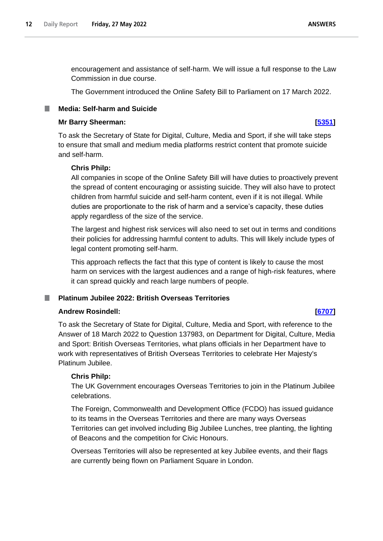**ANSWERS** 

encouragement and assistance of self-harm. We will issue a full response to the Law Commission in due course.

The Government introduced the Online Safety Bill to Parliament on 17 March 2022.

### <span id="page-11-0"></span>**Media: Self-harm and Suicide**

#### **Mr Barry Sheerman: [\[5351\]](http://www.parliament.uk/business/publications/written-questions-answers-statements/written-question/Commons/2022-05-19/5351)**

To ask the Secretary of State for Digital, Culture, Media and Sport, if she will take steps to ensure that small and medium media platforms restrict content that promote suicide and self-harm.

### **Chris Philp:**

All companies in scope of the Online Safety Bill will have duties to proactively prevent the spread of content encouraging or assisting suicide. They will also have to protect children from harmful suicide and self-harm content, even if it is not illegal. While duties are proportionate to the risk of harm and a service's capacity, these duties apply regardless of the size of the service.

The largest and highest risk services will also need to set out in terms and conditions their policies for addressing harmful content to adults. This will likely include types of legal content promoting self-harm.

This approach reflects the fact that this type of content is likely to cause the most harm on services with the largest audiences and a range of high-risk features, where it can spread quickly and reach large numbers of people.

## <span id="page-11-1"></span>**Platinum Jubilee 2022: British Overseas Territories**

### **Andrew Rosindell: [\[6707\]](http://www.parliament.uk/business/publications/written-questions-answers-statements/written-question/Commons/2022-05-23/6707)**

To ask the Secretary of State for Digital, Culture, Media and Sport, with reference to the Answer of 18 March 2022 to Question 137983, on Department for Digital, Culture, Media and Sport: British Overseas Territories, what plans officials in her Department have to work with representatives of British Overseas Territories to celebrate Her Majesty's Platinum Jubilee.

### **Chris Philp:**

The UK Government encourages Overseas Territories to join in the Platinum Jubilee celebrations.

The Foreign, Commonwealth and Development Office (FCDO) has issued guidance to its teams in the Overseas Territories and there are many ways Overseas Territories can get involved including Big Jubilee Lunches, tree planting, the lighting of Beacons and the competition for Civic Honours.

Overseas Territories will also be represented at key Jubilee events, and their flags are currently being flown on Parliament Square in London.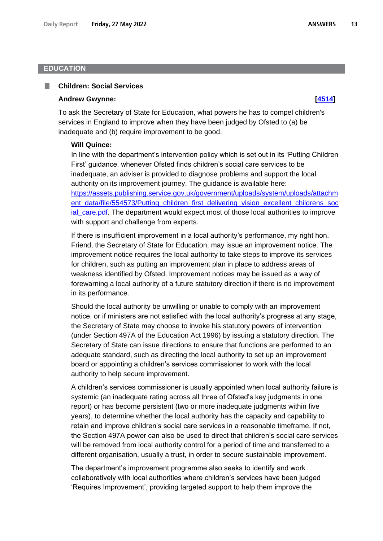### <span id="page-12-0"></span>**EDUCATION**

#### <span id="page-12-1"></span>**Children: Social Services** ш

#### **Andrew Gwynne: [\[4514\]](http://www.parliament.uk/business/publications/written-questions-answers-statements/written-question/Commons/2022-05-18/4514)**

To ask the Secretary of State for Education, what powers he has to compel children's services in England to improve when they have been judged by Ofsted to (a) be inadequate and (b) require improvement to be good.

#### **Will Quince:**

In line with the department's intervention policy which is set out in its 'Putting Children First' guidance, whenever Ofsted finds children's social care services to be inadequate, an adviser is provided to diagnose problems and support the local authority on its improvement journey. The guidance is available here: https://assets.publishing.service.gov.uk/government/uploads/system/uploads/attachm ent\_data/file/554573/Putting\_children\_first\_delivering\_vision\_excellent\_childrens\_soc ial\_care.pdf. The department would expect most of those local authorities to improve with support and challenge from experts.

If there is insufficient improvement in a local authority's performance, my right hon. Friend, the Secretary of State for Education, may issue an improvement notice. The improvement notice requires the local authority to take steps to improve its services for children, such as putting an improvement plan in place to address areas of weakness identified by Ofsted. Improvement notices may be issued as a way of forewarning a local authority of a future statutory direction if there is no improvement in its performance.

Should the local authority be unwilling or unable to comply with an improvement notice, or if ministers are not satisfied with the local authority's progress at any stage, the Secretary of State may choose to invoke his statutory powers of intervention (under Section 497A of the Education Act 1996) by issuing a statutory direction. The Secretary of State can issue directions to ensure that functions are performed to an adequate standard, such as directing the local authority to set up an improvement board or appointing a children's services commissioner to work with the local authority to help secure improvement.

A children's services commissioner is usually appointed when local authority failure is systemic (an inadequate rating across all three of Ofsted's key judgments in one report) or has become persistent (two or more inadequate judgments within five years), to determine whether the local authority has the capacity and capability to retain and improve children's social care services in a reasonable timeframe. If not, the Section 497A power can also be used to direct that children's social care services will be removed from local authority control for a period of time and transferred to a different organisation, usually a trust, in order to secure sustainable improvement.

The department's improvement programme also seeks to identify and work collaboratively with local authorities where children's services have been judged 'Requires Improvement', providing targeted support to help them improve the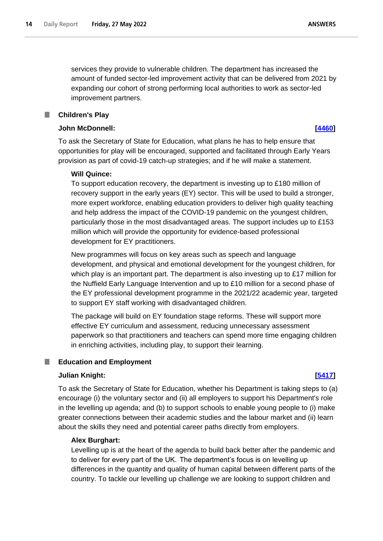**ANSWERS** 

services they provide to vulnerable children. The department has increased the amount of funded sector-led improvement activity that can be delivered from 2021 by expanding our cohort of strong performing local authorities to work as sector-led improvement partners.

### **Children's Play**

<span id="page-13-0"></span>m.

### **John McDonnell: [\[4460\]](http://www.parliament.uk/business/publications/written-questions-answers-statements/written-question/Commons/2022-05-18/4460)**

To ask the Secretary of State for Education, what plans he has to help ensure that opportunities for play will be encouraged, supported and facilitated through Early Years provision as part of covid-19 catch-up strategies; and if he will make a statement.

### **Will Quince:**

To support education recovery, the department is investing up to £180 million of recovery support in the early years (EY) sector. This will be used to build a stronger, more expert workforce, enabling education providers to deliver high quality teaching and help address the impact of the COVID-19 pandemic on the youngest children, particularly those in the most disadvantaged areas. The support includes up to £153 million which will provide the opportunity for evidence-based professional development for EY practitioners.

New programmes will focus on key areas such as speech and language development, and physical and emotional development for the youngest children, for which play is an important part. The department is also investing up to £17 million for the Nuffield Early Language Intervention and up to £10 million for a second phase of the EY professional development programme in the 2021/22 academic year, targeted to support EY staff working with disadvantaged children.

The package will build on EY foundation stage reforms. These will support more effective EY curriculum and assessment, reducing unnecessary assessment paperwork so that practitioners and teachers can spend more time engaging children in enriching activities, including play, to support their learning.

#### <span id="page-13-1"></span>**Education and Employment** П

### **Julian Knight: [\[5417\]](http://www.parliament.uk/business/publications/written-questions-answers-statements/written-question/Commons/2022-05-19/5417)**

To ask the Secretary of State for Education, whether his Department is taking steps to (a) encourage (i) the voluntary sector and (ii) all employers to support his Department's role in the levelling up agenda; and (b) to support schools to enable young people to (i) make greater connections between their academic studies and the labour market and (ii) learn about the skills they need and potential career paths directly from employers.

#### **Alex Burghart:**

Levelling up is at the heart of the agenda to build back better after the pandemic and to deliver for every part of the UK.  The department's focus is on levelling up differences in the quantity and quality of human capital between different parts of the country. To tackle our levelling up challenge we are looking to support children and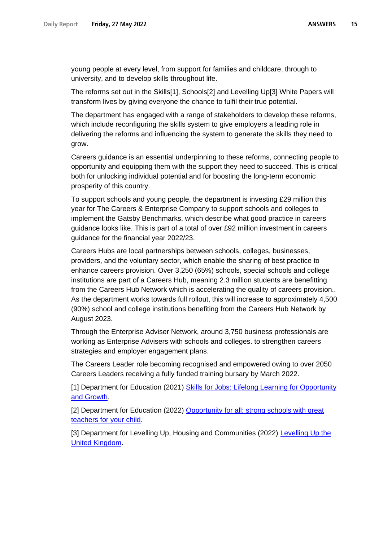young people at every level, from support for families and childcare, through to university, and to develop skills throughout life.

The reforms set out in the Skills[1], Schools[2] and Levelling Up[3] White Papers will transform lives by giving everyone the chance to fulfil their true potential.

The department has engaged with a range of stakeholders to develop these reforms, which include reconfiguring the skills system to give employers a leading role in delivering the reforms and influencing the system to generate the skills they need to grow.

Careers guidance is an essential underpinning to these reforms, connecting people to opportunity and equipping them with the support they need to succeed. This is critical both for unlocking individual potential and for boosting the long-term economic prosperity of this country.

To support schools and young people, the department is investing £29 million this year for The Careers & Enterprise Company to support schools and colleges to implement the Gatsby Benchmarks, which describe what good practice in careers guidance looks like. This is part of a total of over £92 million investment in careers guidance for the financial year 2022/23.

Careers Hubs are local partnerships between schools, colleges, businesses, providers, and the voluntary sector, which enable the sharing of best practice to enhance careers provision. Over 3,250 (65%) schools, special schools and college institutions are part of a Careers Hub, meaning 2.3 million students are benefitting from the Careers Hub Network which is accelerating the quality of careers provision.. As the department works towards full rollout, this will increase to approximately 4,500 (90%) school and college institutions benefiting from the Careers Hub Network by August 2023.

Through the Enterprise Adviser Network, around 3,750 business professionals are working as Enterprise Advisers with schools and colleges. to strengthen careers strategies and employer engagement plans.

The Careers Leader role becoming recognised and empowered owing to over 2050 Careers Leaders receiving a fully funded training bursary by March 2022.

[1] Department for Education (2021) Skills for Jobs: Lifelong Learning for Opportunity [and Growth.](https://www.gov.uk/government/publications/skills-for-jobs-lifelong-learning-for-opportunity-and-growth)

[2] Department for Education (2022) Opportunity for all: strong schools with great [teachers for your child.](https://www.gov.uk/government/publications/opportunity-for-all-strong-schools-with-great-teachers-for-your-child)

[3] Department for Levelling Up, Housing and Communities (2022) [Levelling Up the](https://www.gov.uk/government/publications/levelling-up-the-united-kingdom)  [United Kingdom.](https://www.gov.uk/government/publications/levelling-up-the-united-kingdom)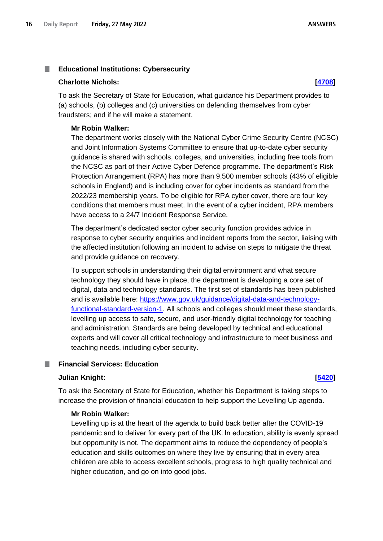#### <span id="page-15-0"></span>п **Educational Institutions: Cybersecurity**

#### **Charlotte Nichols: [\[4708\]](http://www.parliament.uk/business/publications/written-questions-answers-statements/written-question/Commons/2022-05-18/4708)**

To ask the Secretary of State for Education, what guidance his Department provides to (a) schools, (b) colleges and (c) universities on defending themselves from cyber fraudsters; and if he will make a statement.

#### **Mr Robin Walker:**

The department works closely with the National Cyber Crime Security Centre (NCSC) and Joint Information Systems Committee to ensure that up-to-date cyber security guidance is shared with schools, colleges, and universities, including free tools from the NCSC as part of their Active Cyber Defence programme. The department's Risk Protection Arrangement (RPA) has more than 9,500 member schools (43% of eligible schools in England) and is including cover for cyber incidents as standard from the 2022/23 membership years. To be eligible for RPA cyber cover, there are four key conditions that members must meet. In the event of a cyber incident, RPA members have access to a 24/7 Incident Response Service.

The department's dedicated sector cyber security function provides advice in response to cyber security enquiries and incident reports from the sector, liaising with the affected institution following an incident to advise on steps to mitigate the threat and provide guidance on recovery.

To support schools in understanding their digital environment and what secure technology they should have in place, the department is developing a core set of digital, data and technology standards. The first set of standards has been published and is available here: [https://www.gov.uk/guidance/digital-data-and-technology](https://www.gov.uk/guidance/digital-data-and-technology-functional-standard-version-1)[functional-standard-version-1.](https://www.gov.uk/guidance/digital-data-and-technology-functional-standard-version-1) All schools and colleges should meet these standards, levelling up access to safe, secure, and user-friendly digital technology for teaching and administration. Standards are being developed by technical and educational experts and will cover all critical technology and infrastructure to meet business and teaching needs, including cyber security.

### <span id="page-15-1"></span>**Financial Services: Education**

### **Julian Knight: [\[5420\]](http://www.parliament.uk/business/publications/written-questions-answers-statements/written-question/Commons/2022-05-19/5420)**

To ask the Secretary of State for Education, whether his Department is taking steps to increase the provision of financial education to help support the Levelling Up agenda.

#### **Mr Robin Walker:**

Levelling up is at the heart of the agenda to build back better after the COVID-19 pandemic and to deliver for every part of the UK. In education, ability is evenly spread but opportunity is not. The department aims to reduce the dependency of people's education and skills outcomes on where they live by ensuring that in every area children are able to access excellent schools, progress to high quality technical and higher education, and go on into good jobs.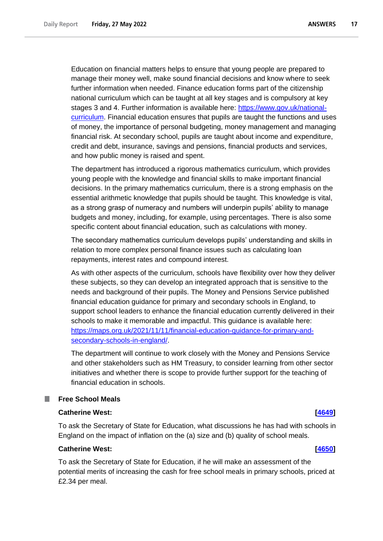Education on financial matters helps to ensure that young people are prepared to manage their money well, make sound financial decisions and know where to seek further information when needed. Finance education forms part of the citizenship national curriculum which can be taught at all key stages and is compulsory at key stages 3 and 4. Further information is available here: [https://www.gov.uk/national](https://www.gov.uk/national-curriculum)[curriculum.](https://www.gov.uk/national-curriculum) Financial education ensures that pupils are taught the functions and uses of money, the importance of personal budgeting, money management and managing financial risk. At secondary school, pupils are taught about income and expenditure, credit and debt, insurance, savings and pensions, financial products and services, and how public money is raised and spent.

The department has introduced a rigorous mathematics curriculum, which provides young people with the knowledge and financial skills to make important financial decisions. In the primary mathematics curriculum, there is a strong emphasis on the essential arithmetic knowledge that pupils should be taught. This knowledge is vital, as a strong grasp of numeracy and numbers will underpin pupils' ability to manage budgets and money, including, for example, using percentages. There is also some specific content about financial education, such as calculations with money.

The secondary mathematics curriculum develops pupils' understanding and skills in relation to more complex personal finance issues such as calculating loan repayments, interest rates and compound interest.

As with other aspects of the curriculum, schools have flexibility over how they deliver these subjects, so they can develop an integrated approach that is sensitive to the needs and background of their pupils. The Money and Pensions Service published financial education guidance for primary and secondary schools in England, to support school leaders to enhance the financial education currently delivered in their schools to make it memorable and impactful. This guidance is available here: [https://maps.org.uk/2021/11/11/financial-education-guidance-for-primary-and](https://maps.org.uk/2021/11/11/financial-education-guidance-for-primary-and-secondary-schools-in-england/)[secondary-schools-in-england/.](https://maps.org.uk/2021/11/11/financial-education-guidance-for-primary-and-secondary-schools-in-england/)

The department will continue to work closely with the Money and Pensions Service and other stakeholders such as HM Treasury, to consider learning from other sector initiatives and whether there is scope to provide further support for the teaching of financial education in schools.

#### <span id="page-16-0"></span>**Free School Meals The Second**

#### **Catherine West: [\[4649\]](http://www.parliament.uk/business/publications/written-questions-answers-statements/written-question/Commons/2022-05-18/4649)**

To ask the Secretary of State for Education, what discussions he has had with schools in England on the impact of inflation on the (a) size and (b) quality of school meals.

### **Catherine West: [\[4650\]](http://www.parliament.uk/business/publications/written-questions-answers-statements/written-question/Commons/2022-05-18/4650)**

To ask the Secretary of State for Education, if he will make an assessment of the potential merits of increasing the cash for free school meals in primary schools, priced at £2.34 per meal.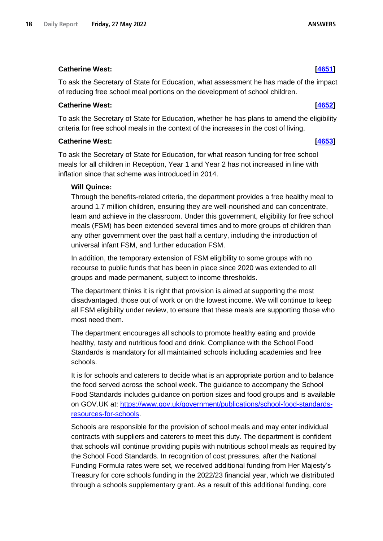## **Catherine West: [\[4651\]](http://www.parliament.uk/business/publications/written-questions-answers-statements/written-question/Commons/2022-05-18/4651)**

To ask the Secretary of State for Education, what assessment he has made of the impact of reducing free school meal portions on the development of school children.

## **Catherine West: [\[4652\]](http://www.parliament.uk/business/publications/written-questions-answers-statements/written-question/Commons/2022-05-18/4652)**

To ask the Secretary of State for Education, whether he has plans to amend the eligibility criteria for free school meals in the context of the increases in the cost of living.

### **Catherine West: [\[4653\]](http://www.parliament.uk/business/publications/written-questions-answers-statements/written-question/Commons/2022-05-18/4653)**

To ask the Secretary of State for Education, for what reason funding for free school meals for all children in Reception, Year 1 and Year 2 has not increased in line with inflation since that scheme was introduced in 2014.

### **Will Quince:**

Through the benefits-related criteria, the department provides a free healthy meal to around 1.7 million children, ensuring they are well-nourished and can concentrate, learn and achieve in the classroom. Under this government, eligibility for free school meals (FSM) has been extended several times and to more groups of children than any other government over the past half a century, including the introduction of universal infant FSM, and further education FSM.

In addition, the temporary extension of FSM eligibility to some groups with no recourse to public funds that has been in place since 2020 was extended to all groups and made permanent, subject to income thresholds.

The department thinks it is right that provision is aimed at supporting the most disadvantaged, those out of work or on the lowest income. We will continue to keep all FSM eligibility under review, to ensure that these meals are supporting those who most need them.

The department encourages all schools to promote healthy eating and provide healthy, tasty and nutritious food and drink. Compliance with the School Food Standards is mandatory for all maintained schools including academies and free schools.

It is for schools and caterers to decide what is an appropriate portion and to balance the food served across the school week. The guidance to accompany the School Food Standards includes guidance on portion sizes and food groups and is available on GOV.UK at: [https://www.gov.uk/government/publications/school-food-standards](https://www.gov.uk/government/publications/school-food-standards-resources-for-schools)[resources-for-schools.](https://www.gov.uk/government/publications/school-food-standards-resources-for-schools)

Schools are responsible for the provision of school meals and may enter individual contracts with suppliers and caterers to meet this duty. The department is confident that schools will continue providing pupils with nutritious school meals as required by the School Food Standards. In recognition of cost pressures, after the National Funding Formula rates were set, we received additional funding from Her Majesty's Treasury for core schools funding in the 2022/23 financial year, which we distributed through a schools supplementary grant. As a result of this additional funding, core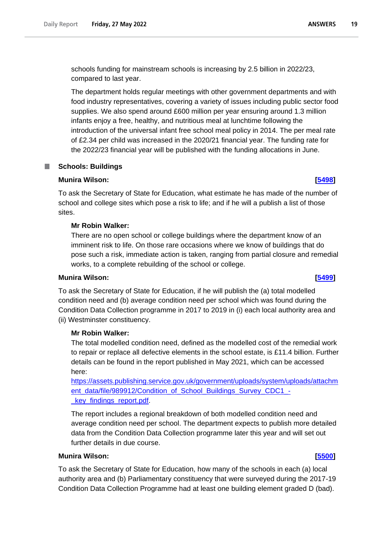schools funding for mainstream schools is increasing by 2.5 billion in 2022/23, compared to last year.

The department holds regular meetings with other government departments and with food industry representatives, covering a variety of issues including public sector food supplies. We also spend around £600 million per year ensuring around 1.3 million infants enjoy a free, healthy, and nutritious meal at lunchtime following the introduction of the universal infant free school meal policy in 2014. The per meal rate of £2.34 per child was increased in the 2020/21 financial year. The funding rate for the 2022/23 financial year will be published with the funding allocations in June.

### <span id="page-18-0"></span>**Schools: Buildings**

### **Munira Wilson: [\[5498\]](http://www.parliament.uk/business/publications/written-questions-answers-statements/written-question/Commons/2022-05-19/5498)**

To ask the Secretary of State for Education, what estimate he has made of the number of school and college sites which pose a risk to life; and if he will a publish a list of those sites.

### **Mr Robin Walker:**

There are no open school or college buildings where the department know of an imminent risk to life. On those rare occasions where we know of buildings that do pose such a risk, immediate action is taken, ranging from partial closure and remedial works, to a complete rebuilding of the school or college.

### **Munira Wilson: [\[5499\]](http://www.parliament.uk/business/publications/written-questions-answers-statements/written-question/Commons/2022-05-19/5499)**

To ask the Secretary of State for Education, if he will publish the (a) total modelled condition need and (b) average condition need per school which was found during the Condition Data Collection programme in 2017 to 2019 in (i) each local authority area and (ii) Westminster constituency.

### **Mr Robin Walker:**

The total modelled condition need, defined as the modelled cost of the remedial work to repair or replace all defective elements in the school estate, is £11.4 billion. Further details can be found in the report published in May 2021, which can be accessed here:

https://assets.publishing.service.gov.uk/government/uploads/system/uploads/attachm ent data/file/989912/Condition of School Buildings Survey CDC1 -\_key\_findings\_report.pdf.

The report includes a regional breakdown of both modelled condition need and average condition need per school. The department expects to publish more detailed data from the Condition Data Collection programme later this year and will set out further details in due course.

### **Munira Wilson: [\[5500\]](http://www.parliament.uk/business/publications/written-questions-answers-statements/written-question/Commons/2022-05-19/5500)**

To ask the Secretary of State for Education, how many of the schools in each (a) local authority area and (b) Parliamentary constituency that were surveyed during the 2017-19 Condition Data Collection Programme had at least one building element graded D (bad).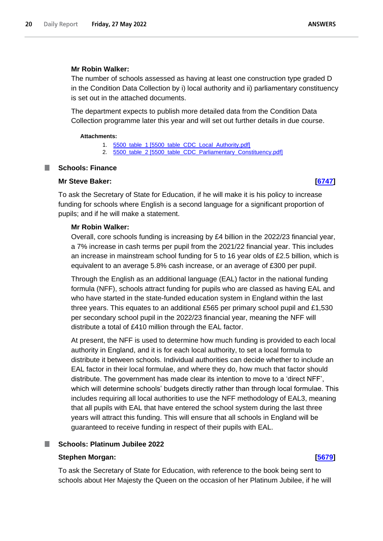### **Mr Robin Walker:**

The number of schools assessed as having at least one construction type graded D in the Condition Data Collection by i) local authority and ii) parliamentary constituency is set out in the attached documents.

The department expects to publish more detailed data from the Condition Data Collection programme later this year and will set out further details in due course.

#### **Attachments:**

- 1. [5500\\_table\\_1 \[5500\\_table\\_CDC\\_Local\\_Authority.pdf\]](https://qna.files.parliament.uk/qna-attachments/1464529/original/5500_table_CDC_Local_Authority.pdf)
- 2. 5500 table 2 [5500 table\_CDC\_Parliamentary\_Constituency.pdf]

### <span id="page-19-0"></span>**Schools: Finance**

### **Mr Steve Baker: [\[6747\]](http://www.parliament.uk/business/publications/written-questions-answers-statements/written-question/Commons/2022-05-23/6747)**

To ask the Secretary of State for Education, if he will make it is his policy to increase funding for schools where English is a second language for a significant proportion of pupils; and if he will make a statement.

### **Mr Robin Walker:**

Overall, core schools funding is increasing by £4 billion in the 2022/23 financial year, a 7% increase in cash terms per pupil from the 2021/22 financial year. This includes an increase in mainstream school funding for 5 to 16 year olds of £2.5 billion, which is equivalent to an average 5.8% cash increase, or an average of £300 per pupil.

Through the English as an additional language (EAL) factor in the national funding formula (NFF), schools attract funding for pupils who are classed as having EAL and who have started in the state-funded education system in England within the last three years. This equates to an additional £565 per primary school pupil and £1,530 per secondary school pupil in the 2022/23 financial year, meaning the NFF will distribute a total of £410 million through the EAL factor.

At present, the NFF is used to determine how much funding is provided to each local authority in England, and it is for each local authority, to set a local formula to distribute it between schools. Individual authorities can decide whether to include an EAL factor in their local formulae, and where they do, how much that factor should distribute. The government has made clear its intention to move to a 'direct NFF', which will determine schools' budgets directly rather than through local formulae. This includes requiring all local authorities to use the NFF methodology of EAL3, meaning that all pupils with EAL that have entered the school system during the last three years will attract this funding. This will ensure that all schools in England will be guaranteed to receive funding in respect of their pupils with EAL.

## <span id="page-19-1"></span>**Schools: Platinum Jubilee 2022**

### **Stephen Morgan: [\[5679\]](http://www.parliament.uk/business/publications/written-questions-answers-statements/written-question/Commons/2022-05-20/5679)**

To ask the Secretary of State for Education, with reference to the book being sent to schools about Her Majesty the Queen on the occasion of her Platinum Jubilee, if he will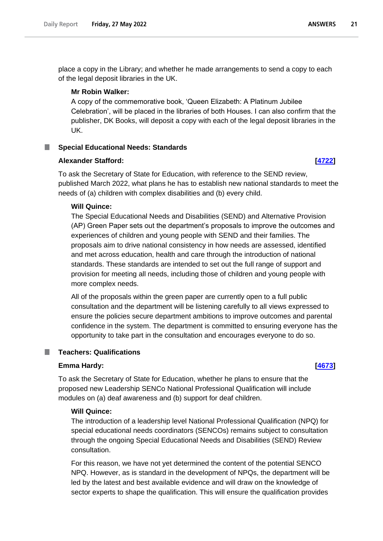place a copy in the Library; and whether he made arrangements to send a copy to each of the legal deposit libraries in the UK.

#### **Mr Robin Walker:**

A copy of the commemorative book, 'Queen Elizabeth: A Platinum Jubilee Celebration', will be placed in the libraries of both Houses. I can also confirm that the publisher, DK Books, will deposit a copy with each of the legal deposit libraries in the UK.

#### <span id="page-20-0"></span>**Special Educational Needs: Standards**

### **Alexander Stafford: [\[4722\]](http://www.parliament.uk/business/publications/written-questions-answers-statements/written-question/Commons/2022-05-18/4722)**

To ask the Secretary of State for Education, with reference to the SEND review, published March 2022, what plans he has to establish new national standards to meet the needs of (a) children with complex disabilities and (b) every child.

### **Will Quince:**

The Special Educational Needs and Disabilities (SEND) and Alternative Provision (AP) Green Paper sets out the department's proposals to improve the outcomes and experiences of children and young people with SEND and their families. The proposals aim to drive national consistency in how needs are assessed, identified and met across education, health and care through the introduction of national standards. These standards are intended to set out the full range of support and provision for meeting all needs, including those of children and young people with more complex needs.

All of the proposals within the green paper are currently open to a full public consultation and the department will be listening carefully to all views expressed to ensure the policies secure department ambitions to improve outcomes and parental confidence in the system. The department is committed to ensuring everyone has the opportunity to take part in the consultation and encourages everyone to do so.

## <span id="page-20-1"></span>**Teachers: Qualifications**

#### **Emma Hardy: [\[4673\]](http://www.parliament.uk/business/publications/written-questions-answers-statements/written-question/Commons/2022-05-18/4673)**

To ask the Secretary of State for Education, whether he plans to ensure that the proposed new Leadership SENCo National Professional Qualification will include modules on (a) deaf awareness and (b) support for deaf children.

### **Will Quince:**

The introduction of a leadership level National Professional Qualification (NPQ) for special educational needs coordinators (SENCOs) remains subject to consultation through the ongoing Special Educational Needs and Disabilities (SEND) Review consultation.

For this reason, we have not yet determined the content of the potential SENCO NPQ. However, as is standard in the development of NPQs, the department will be led by the latest and best available evidence and will draw on the knowledge of sector experts to shape the qualification. This will ensure the qualification provides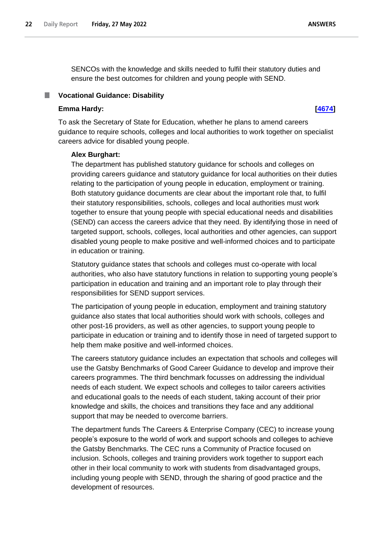**ANSWERS** 

SENCOs with the knowledge and skills needed to fulfil their statutory duties and ensure the best outcomes for children and young people with SEND.

### <span id="page-21-0"></span>**Vocational Guidance: Disability**

### **Emma Hardy: [\[4674\]](http://www.parliament.uk/business/publications/written-questions-answers-statements/written-question/Commons/2022-05-18/4674)**

To ask the Secretary of State for Education, whether he plans to amend careers guidance to require schools, colleges and local authorities to work together on specialist careers advice for disabled young people.

### **Alex Burghart:**

The department has published statutory guidance for schools and colleges on providing careers guidance and statutory guidance for local authorities on their duties relating to the participation of young people in education, employment or training. Both statutory guidance documents are clear about the important role that, to fulfil their statutory responsibilities, schools, colleges and local authorities must work together to ensure that young people with special educational needs and disabilities (SEND) can access the careers advice that they need. By identifying those in need of targeted support, schools, colleges, local authorities and other agencies, can support disabled young people to make positive and well-informed choices and to participate in education or training.

Statutory guidance states that schools and colleges must co-operate with local authorities, who also have statutory functions in relation to supporting young people's participation in education and training and an important role to play through their responsibilities for SEND support services.

The participation of young people in education, employment and training statutory guidance also states that local authorities should work with schools, colleges and other post-16 providers, as well as other agencies, to support young people to participate in education or training and to identify those in need of targeted support to help them make positive and well-informed choices.

The careers statutory guidance includes an expectation that schools and colleges will use the Gatsby Benchmarks of Good Career Guidance to develop and improve their careers programmes. The third benchmark focusses on addressing the individual needs of each student. We expect schools and colleges to tailor careers activities and educational goals to the needs of each student, taking account of their prior knowledge and skills, the choices and transitions they face and any additional support that may be needed to overcome barriers.

The department funds The Careers & Enterprise Company (CEC) to increase young people's exposure to the world of work and support schools and colleges to achieve the Gatsby Benchmarks. The CEC runs a Community of Practice focused on inclusion. Schools, colleges and training providers work together to support each other in their local community to work with students from disadvantaged groups, including young people with SEND, through the sharing of good practice and the development of resources.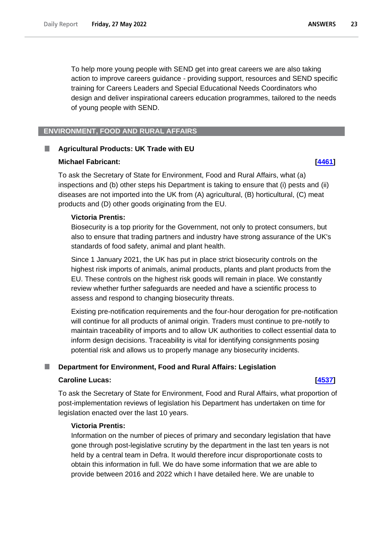To help more young people with SEND get into great careers we are also taking action to improve careers guidance - providing support, resources and SEND specific training for Careers Leaders and Special Educational Needs Coordinators who design and deliver inspirational careers education programmes, tailored to the needs of young people with SEND.

## <span id="page-22-0"></span>**ENVIRONMENT, FOOD AND RURAL AFFAIRS**

#### <span id="page-22-1"></span>H **Agricultural Products: UK Trade with EU**

#### **Michael Fabricant: [\[4461\]](http://www.parliament.uk/business/publications/written-questions-answers-statements/written-question/Commons/2022-05-18/4461)**

To ask the Secretary of State for Environment, Food and Rural Affairs, what (a) inspections and (b) other steps his Department is taking to ensure that (i) pests and (ii) diseases are not imported into the UK from (A) agricultural, (B) horticultural, (C) meat products and (D) other goods originating from the EU.

#### **Victoria Prentis:**

Biosecurity is a top priority for the Government, not only to protect consumers, but also to ensure that trading partners and industry have strong assurance of the UK's standards of food safety, animal and plant health.

Since 1 January 2021, the UK has put in place strict biosecurity controls on the highest risk imports of animals, animal products, plants and plant products from the EU. These controls on the highest risk goods will remain in place. We constantly review whether further safeguards are needed and have a scientific process to assess and respond to changing biosecurity threats.

Existing pre-notification requirements and the four-hour derogation for pre-notification will continue for all products of animal origin. Traders must continue to pre-notify to maintain traceability of imports and to allow UK authorities to collect essential data to inform design decisions. Traceability is vital for identifying consignments posing potential risk and allows us to properly manage any biosecurity incidents.

### <span id="page-22-2"></span>**Department for Environment, Food and Rural Affairs: Legislation**

#### **Caroline Lucas: [\[4537\]](http://www.parliament.uk/business/publications/written-questions-answers-statements/written-question/Commons/2022-05-18/4537)**

To ask the Secretary of State for Environment, Food and Rural Affairs, what proportion of post-implementation reviews of legislation his Department has undertaken on time for legislation enacted over the last 10 years.

### **Victoria Prentis:**

Information on the number of pieces of primary and secondary legislation that have gone through post-legislative scrutiny by the department in the last ten years is not held by a central team in Defra. It would therefore incur disproportionate costs to obtain this information in full. We do have some information that we are able to provide between 2016 and 2022 which I have detailed here. We are unable to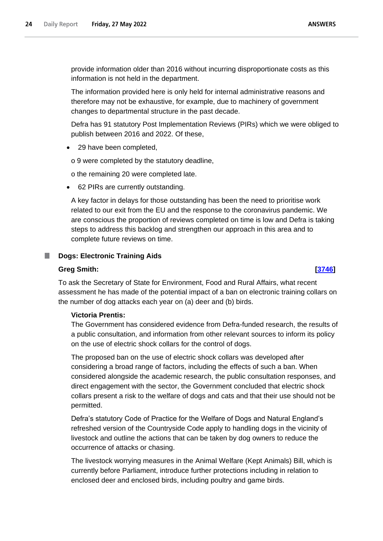provide information older than 2016 without incurring disproportionate costs as this information is not held in the department.

The information provided here is only held for internal administrative reasons and therefore may not be exhaustive, for example, due to machinery of government changes to departmental structure in the past decade.

Defra has 91 statutory Post Implementation Reviews (PIRs) which we were obliged to publish between 2016 and 2022. Of these,

• 29 have been completed,

o 9 were completed by the statutory deadline,

o the remaining 20 were completed late.

• 62 PIRs are currently outstanding.

A key factor in delays for those outstanding has been the need to prioritise work related to our exit from the EU and the response to the coronavirus pandemic. We are conscious the proportion of reviews completed on time is low and Defra is taking steps to address this backlog and strengthen our approach in this area and to complete future reviews on time.

### <span id="page-23-0"></span>**Dogs: Electronic Training Aids**

#### **Greg Smith: [\[3746\]](http://www.parliament.uk/business/publications/written-questions-answers-statements/written-question/Commons/2022-05-17/3746)**

To ask the Secretary of State for Environment, Food and Rural Affairs, what recent assessment he has made of the potential impact of a ban on electronic training collars on the number of dog attacks each year on (a) deer and (b) birds.

## **Victoria Prentis:**

The Government has considered evidence from Defra-funded research, the results of a public consultation, and information from other relevant sources to inform its policy on the use of electric shock collars for the control of dogs.

The proposed ban on the use of electric shock collars was developed after considering a broad range of factors, including the effects of such a ban. When considered alongside the academic research, the public consultation responses, and direct engagement with the sector, the Government concluded that electric shock collars present a risk to the welfare of dogs and cats and that their use should not be permitted.

Defra's statutory Code of Practice for the Welfare of Dogs and Natural England's refreshed version of the Countryside Code apply to handling dogs in the vicinity of livestock and outline the actions that can be taken by dog owners to reduce the occurrence of attacks or chasing.

The livestock worrying measures in the Animal Welfare (Kept Animals) Bill, which is currently before Parliament, introduce further protections including in relation to enclosed deer and enclosed birds, including poultry and game birds.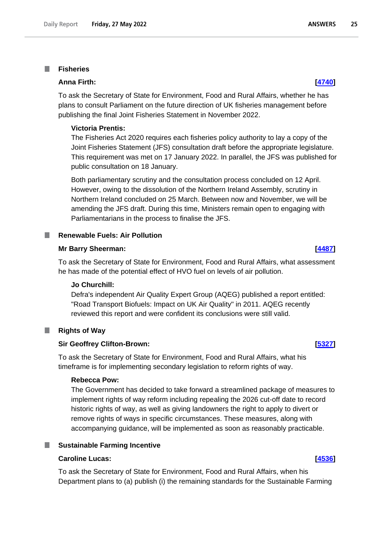#### <span id="page-24-0"></span>**Fisheries** T.

### **Anna Firth: [\[4740\]](http://www.parliament.uk/business/publications/written-questions-answers-statements/written-question/Commons/2022-05-18/4740)**

To ask the Secretary of State for Environment, Food and Rural Affairs, whether he has plans to consult Parliament on the future direction of UK fisheries management before publishing the final Joint Fisheries Statement in November 2022.

#### **Victoria Prentis:**

The Fisheries Act 2020 requires each fisheries policy authority to lay a copy of the Joint Fisheries Statement (JFS) consultation draft before the appropriate legislature. This requirement was met on 17 January 2022. In parallel, the JFS was published for public consultation on 18 January.

Both parliamentary scrutiny and the consultation process concluded on 12 April. However, owing to the dissolution of the Northern Ireland Assembly, scrutiny in Northern Ireland concluded on 25 March. Between now and November, we will be amending the JFS draft. During this time, Ministers remain open to engaging with Parliamentarians in the process to finalise the JFS.

#### <span id="page-24-1"></span>**I Renewable Fuels: Air Pollution**

#### **Mr Barry Sheerman: [\[4487\]](http://www.parliament.uk/business/publications/written-questions-answers-statements/written-question/Commons/2022-05-18/4487)**

To ask the Secretary of State for Environment, Food and Rural Affairs, what assessment he has made of the potential effect of HVO fuel on levels of air pollution.

#### **Jo Churchill:**

Defra's independent Air Quality Expert Group (AQEG) published a report entitled: "Road Transport Biofuels: Impact on UK Air Quality" in 2011. AQEG recently reviewed this report and were confident its conclusions were still valid.

#### <span id="page-24-2"></span>ш **Rights of Way**

#### **Sir Geoffrey Clifton-Brown: [\[5327\]](http://www.parliament.uk/business/publications/written-questions-answers-statements/written-question/Commons/2022-05-19/5327)**

To ask the Secretary of State for Environment, Food and Rural Affairs, what his timeframe is for implementing secondary legislation to reform rights of way.

#### **Rebecca Pow:**

The Government has decided to take forward a streamlined package of measures to implement rights of way reform including repealing the 2026 cut-off date to record historic rights of way, as well as giving landowners the right to apply to divert or remove rights of ways in specific circumstances. These measures, along with accompanying guidance, will be implemented as soon as reasonably practicable.

#### <span id="page-24-3"></span>**Sustainable Farming Incentive**

#### **Caroline Lucas: [\[4536\]](http://www.parliament.uk/business/publications/written-questions-answers-statements/written-question/Commons/2022-05-18/4536)**

To ask the Secretary of State for Environment, Food and Rural Affairs, when his Department plans to (a) publish (i) the remaining standards for the Sustainable Farming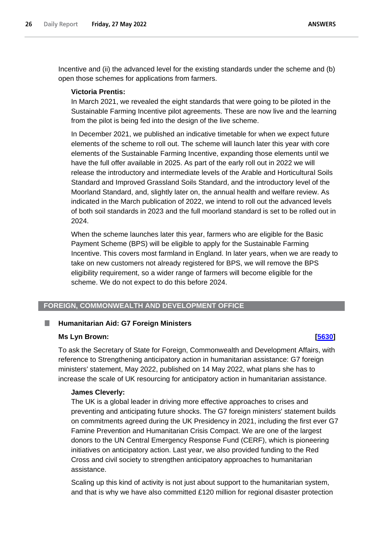Incentive and (ii) the advanced level for the existing standards under the scheme and (b) open those schemes for applications from farmers.

### **Victoria Prentis:**

In March 2021, we revealed the eight standards that were going to be piloted in the Sustainable Farming Incentive pilot agreements. These are now live and the learning from the pilot is being fed into the design of the live scheme.

In December 2021, we published an indicative timetable for when we expect future elements of the scheme to roll out. The scheme will launch later this year with core elements of the Sustainable Farming Incentive, expanding those elements until we have the full offer available in 2025. As part of the early roll out in 2022 we will release the introductory and intermediate levels of the Arable and Horticultural Soils Standard and Improved Grassland Soils Standard, and the introductory level of the Moorland Standard, and, slightly later on, the annual health and welfare review. As indicated in the March publication of 2022, we intend to roll out the advanced levels of both soil standards in 2023 and the full moorland standard is set to be rolled out in 2024.

When the scheme launches later this year, farmers who are eligible for the Basic Payment Scheme (BPS) will be eligible to apply for the Sustainable Farming Incentive. This covers most farmland in England. In later years, when we are ready to take on new customers not already registered for BPS, we will remove the BPS eligibility requirement, so a wider range of farmers will become eligible for the scheme. We do not expect to do this before 2024.

## <span id="page-25-0"></span>**FOREIGN, COMMONWEALTH AND DEVELOPMENT OFFICE**

#### <span id="page-25-1"></span>П **Humanitarian Aid: G7 Foreign Ministers**

#### **Ms Lyn Brown: [\[5630\]](http://www.parliament.uk/business/publications/written-questions-answers-statements/written-question/Commons/2022-05-20/5630)**

To ask the Secretary of State for Foreign, Commonwealth and Development Affairs, with reference to Strengthening anticipatory action in humanitarian assistance: G7 foreign ministers' statement, May 2022, published on 14 May 2022, what plans she has to increase the scale of UK resourcing for anticipatory action in humanitarian assistance.

### **James Cleverly:**

The UK is a global leader in driving more effective approaches to crises and preventing and anticipating future shocks. The G7 foreign ministers' statement builds on commitments agreed during the UK Presidency in 2021, including the first ever G7 Famine Prevention and Humanitarian Crisis Compact. We are one of the largest donors to the UN Central Emergency Response Fund (CERF), which is pioneering initiatives on anticipatory action. Last year, we also provided funding to the Red Cross and civil society to strengthen anticipatory approaches to humanitarian assistance.

Scaling up this kind of activity is not just about support to the humanitarian system, and that is why we have also committed £120 million for regional disaster protection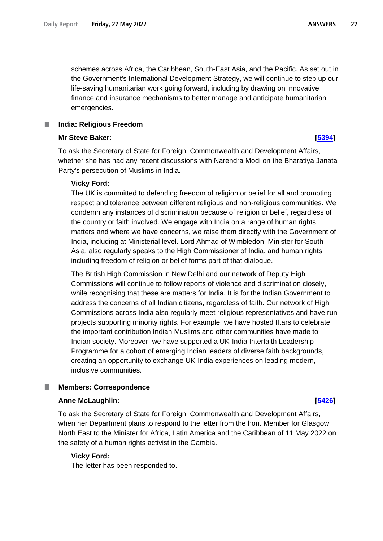schemes across Africa, the Caribbean, South-East Asia, and the Pacific. As set out in the Government's International Development Strategy, we will continue to step up our life-saving humanitarian work going forward, including by drawing on innovative finance and insurance mechanisms to better manage and anticipate humanitarian emergencies.

### <span id="page-26-0"></span>**India: Religious Freedom**

### **Mr Steve Baker: [\[5394\]](http://www.parliament.uk/business/publications/written-questions-answers-statements/written-question/Commons/2022-05-19/5394)**

To ask the Secretary of State for Foreign, Commonwealth and Development Affairs, whether she has had any recent discussions with Narendra Modi on the Bharatiya Janata Party's persecution of Muslims in India.

### **Vicky Ford:**

The UK is committed to defending freedom of religion or belief for all and promoting respect and tolerance between different religious and non-religious communities. We condemn any instances of discrimination because of religion or belief, regardless of the country or faith involved. We engage with India on a range of human rights matters and where we have concerns, we raise them directly with the Government of India, including at Ministerial level. Lord Ahmad of Wimbledon, Minister for South Asia, also regularly speaks to the High Commissioner of India, and human rights including freedom of religion or belief forms part of that dialogue.

The British High Commission in New Delhi and our network of Deputy High Commissions will continue to follow reports of violence and discrimination closely, while recognising that these are matters for India. It is for the Indian Government to address the concerns of all Indian citizens, regardless of faith. Our network of High Commissions across India also regularly meet religious representatives and have run projects supporting minority rights. For example, we have hosted Iftars to celebrate the important contribution Indian Muslims and other communities have made to Indian society. Moreover, we have supported a UK-India Interfaith Leadership Programme for a cohort of emerging Indian leaders of diverse faith backgrounds, creating an opportunity to exchange UK-India experiences on leading modern, inclusive communities.

#### <span id="page-26-1"></span>**Members: Correspondence** .

#### **Anne McLaughlin: [\[5426\]](http://www.parliament.uk/business/publications/written-questions-answers-statements/written-question/Commons/2022-05-19/5426)**

To ask the Secretary of State for Foreign, Commonwealth and Development Affairs, when her Department plans to respond to the letter from the hon. Member for Glasgow North East to the Minister for Africa, Latin America and the Caribbean of 11 May 2022 on the safety of a human rights activist in the Gambia.

### **Vicky Ford:**

The letter has been responded to.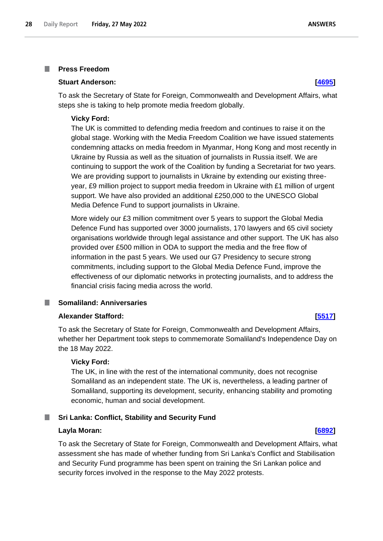#### <span id="page-27-0"></span>**Press Freedom** I.

#### **Stuart Anderson: [\[4695\]](http://www.parliament.uk/business/publications/written-questions-answers-statements/written-question/Commons/2022-05-18/4695)**

To ask the Secretary of State for Foreign, Commonwealth and Development Affairs, what steps she is taking to help promote media freedom globally.

#### **Vicky Ford:**

The UK is committed to defending media freedom and continues to raise it on the global stage. Working with the Media Freedom Coalition we have issued statements condemning attacks on media freedom in Myanmar, Hong Kong and most recently in Ukraine by Russia as well as the situation of journalists in Russia itself. We are continuing to support the work of the Coalition by funding a Secretariat for two years. We are providing support to journalists in Ukraine by extending our existing threeyear, £9 million project to support media freedom in Ukraine with £1 million of urgent support. We have also provided an additional £250,000 to the UNESCO Global Media Defence Fund to support journalists in Ukraine.

More widely our £3 million commitment over 5 years to support the Global Media Defence Fund has supported over 3000 journalists, 170 lawyers and 65 civil society organisations worldwide through legal assistance and other support. The UK has also provided over £500 million in ODA to support the media and the free flow of information in the past 5 years. We used our G7 Presidency to secure strong commitments, including support to the Global Media Defence Fund, improve the effectiveness of our diplomatic networks in protecting journalists, and to address the financial crisis facing media across the world.

#### <span id="page-27-1"></span>**Somaliland: Anniversaries**

#### **Alexander Stafford: [\[5517\]](http://www.parliament.uk/business/publications/written-questions-answers-statements/written-question/Commons/2022-05-19/5517)**

To ask the Secretary of State for Foreign, Commonwealth and Development Affairs, whether her Department took steps to commemorate Somaliland's Independence Day on the 18 May 2022.

#### **Vicky Ford:**

The UK, in line with the rest of the international community, does not recognise Somaliland as an independent state. The UK is, nevertheless, a leading partner of Somaliland, supporting its development, security, enhancing stability and promoting economic, human and social development.

### <span id="page-27-2"></span>**Sri Lanka: Conflict, Stability and Security Fund**

#### **Layla Moran: [\[6892\]](http://www.parliament.uk/business/publications/written-questions-answers-statements/written-question/Commons/2022-05-23/6892)**

To ask the Secretary of State for Foreign, Commonwealth and Development Affairs, what assessment she has made of whether funding from Sri Lanka's Conflict and Stabilisation and Security Fund programme has been spent on training the Sri Lankan police and security forces involved in the response to the May 2022 protests.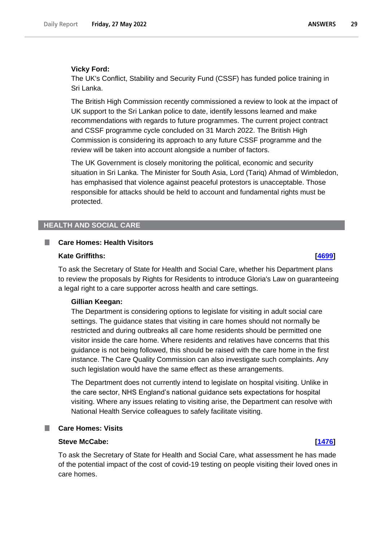#### **Vicky Ford:**

The UK's Conflict, Stability and Security Fund (CSSF) has funded police training in Sri Lanka.

The British High Commission recently commissioned a review to look at the impact of UK support to the Sri Lankan police to date, identify lessons learned and make recommendations with regards to future programmes. The current project contract and CSSF programme cycle concluded on 31 March 2022. The British High Commission is considering its approach to any future CSSF programme and the review will be taken into account alongside a number of factors.

The UK Government is closely monitoring the political, economic and security situation in Sri Lanka. The Minister for South Asia, Lord (Tariq) Ahmad of Wimbledon, has emphasised that violence against peaceful protestors is unacceptable. Those responsible for attacks should be held to account and fundamental rights must be protected.

### <span id="page-28-0"></span>**HEALTH AND SOCIAL CARE**

#### <span id="page-28-1"></span>**I Care Homes: Health Visitors**

#### **Kate Griffiths: [\[4699\]](http://www.parliament.uk/business/publications/written-questions-answers-statements/written-question/Commons/2022-05-18/4699)**

To ask the Secretary of State for Health and Social Care, whether his Department plans to review the proposals by Rights for Residents to introduce Gloria's Law on guaranteeing a legal right to a care supporter across health and care settings.

#### **Gillian Keegan:**

The Department is considering options to legislate for visiting in adult social care settings. The guidance states that visiting in care homes should not normally be restricted and during outbreaks all care home residents should be permitted one visitor inside the care home. Where residents and relatives have concerns that this guidance is not being followed, this should be raised with the care home in the first instance. The Care Quality Commission can also investigate such complaints. Any such legislation would have the same effect as these arrangements.

The Department does not currently intend to legislate on hospital visiting. Unlike in the care sector, NHS England's national guidance sets expectations for hospital visiting. Where any issues relating to visiting arise, the Department can resolve with National Health Service colleagues to safely facilitate visiting.

## <span id="page-28-2"></span>**Care Homes: Visits**

#### **Steve McCabe: [\[1476\]](http://www.parliament.uk/business/publications/written-questions-answers-statements/written-question/Commons/2022-05-13/1476)**

To ask the Secretary of State for Health and Social Care, what assessment he has made of the potential impact of the cost of covid-19 testing on people visiting their loved ones in care homes.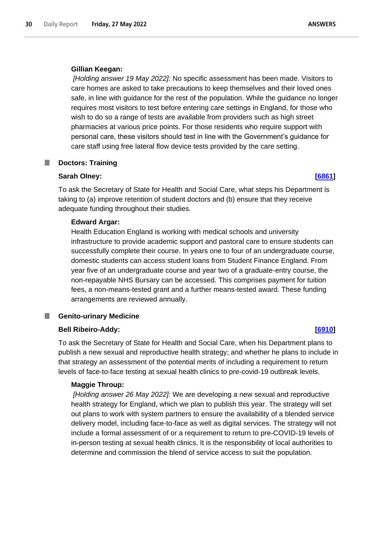#### **Gillian Keegan:**

*[Holding answer 19 May 2022]:* No specific assessment has been made. Visitors to care homes are asked to take precautions to keep themselves and their loved ones safe, in line with guidance for the rest of the population. While the guidance no longer requires most visitors to test before entering care settings in England, for those who wish to do so a range of tests are available from providers such as high street pharmacies at various price points. For those residents who require support with personal care, these visitors should test in line with the Government's guidance for care staff using free lateral flow device tests provided by the care setting.

#### <span id="page-29-0"></span>**Doctors: Training**

#### **Sarah Olney: [\[6861\]](http://www.parliament.uk/business/publications/written-questions-answers-statements/written-question/Commons/2022-05-23/6861)**

To ask the Secretary of State for Health and Social Care, what steps his Department is taking to (a) improve retention of student doctors and (b) ensure that they receive adequate funding throughout their studies.

### **Edward Argar:**

Health Education England is working with medical schools and university infrastructure to provide academic support and pastoral care to ensure students can successfully complete their course. In years one to four of an undergraduate course, domestic students can access student loans from Student Finance England. From year five of an undergraduate course and year two of a graduate-entry course, the non-repayable NHS Bursary can be accessed. This comprises payment for tuition fees, a non-means-tested grant and a further means-tested award. These funding arrangements are reviewed annually.

#### <span id="page-29-1"></span>**Genito-urinary Medicine** ш

### **Bell Ribeiro-Addy: [\[6910\]](http://www.parliament.uk/business/publications/written-questions-answers-statements/written-question/Commons/2022-05-23/6910)**

To ask the Secretary of State for Health and Social Care, when his Department plans to publish a new sexual and reproductive health strategy; and whether he plans to include in that strategy an assessment of the potential merits of including a requirement to return levels of face-to-face testing at sexual health clinics to pre-covid-19 outbreak levels.

### **Maggie Throup:**

*[Holding answer 26 May 2022]:* We are developing a new sexual and reproductive health strategy for England, which we plan to publish this year. The strategy will set out plans to work with system partners to ensure the availability of a blended service delivery model, including face-to-face as well as digital services. The strategy will not include a formal assessment of or a requirement to return to pre-COVID-19 levels of in-person testing at sexual health clinics. It is the responsibility of local authorities to determine and commission the blend of service access to suit the population.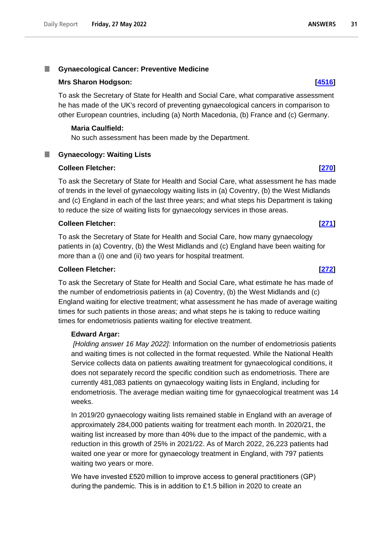#### <span id="page-30-0"></span>m. **Gynaecological Cancer: Preventive Medicine**

### **Mrs Sharon Hodgson: [\[4516\]](http://www.parliament.uk/business/publications/written-questions-answers-statements/written-question/Commons/2022-05-18/4516)**

To ask the Secretary of State for Health and Social Care, what comparative assessment he has made of the UK's record of preventing gynaecological cancers in comparison to other European countries, including (a) North Macedonia, (b) France and (c) Germany.

### **Maria Caulfield:**

No such assessment has been made by the Department.

## <span id="page-30-1"></span>**Gynaecology: Waiting Lists**

### **Colleen Fletcher: [\[270\]](http://www.parliament.uk/business/publications/written-questions-answers-statements/written-question/Commons/2022-05-10/270)**

To ask the Secretary of State for Health and Social Care, what assessment he has made of trends in the level of gynaecology waiting lists in (a) Coventry, (b) the West Midlands and (c) England in each of the last three years; and what steps his Department is taking to reduce the size of waiting lists for gynaecology services in those areas.

### **Colleen Fletcher: [\[271\]](http://www.parliament.uk/business/publications/written-questions-answers-statements/written-question/Commons/2022-05-10/271)**

To ask the Secretary of State for Health and Social Care, how many gynaecology patients in (a) Coventry, (b) the West Midlands and (c) England have been waiting for more than a (i) one and (ii) two years for hospital treatment.

### **Colleen Fletcher: [\[272\]](http://www.parliament.uk/business/publications/written-questions-answers-statements/written-question/Commons/2022-05-10/272)**

To ask the Secretary of State for Health and Social Care, what estimate he has made of the number of endometriosis patients in (a) Coventry, (b) the West Midlands and (c) England waiting for elective treatment; what assessment he has made of average waiting times for such patients in those areas; and what steps he is taking to reduce waiting times for endometriosis patients waiting for elective treatment.

### **Edward Argar:**

*[Holding answer 16 May 2022]:* Information on the number of endometriosis patients and waiting times is not collected in the format requested. While the National Health Service collects data on patients awaiting treatment for gynaecological conditions, it does not separately record the specific condition such as endometriosis. There are currently 481,083 patients on gynaecology waiting lists in England, including for endometriosis. The average median waiting time for gynaecological treatment was 14 weeks.

In 2019/20 gynaecology waiting lists remained stable in England with an average of approximately 284,000 patients waiting for treatment each month. In 2020/21, the waiting list increased by more than 40% due to the impact of the pandemic, with a reduction in this growth of 25% in 2021/22. As of March 2022, 26,223 patients had waited one year or more for gynaecology treatment in England, with 797 patients waiting two years or more.

We have invested £520 million to improve access to general practitioners (GP) during the pandemic. This is in addition to £1.5 billion in 2020 to create an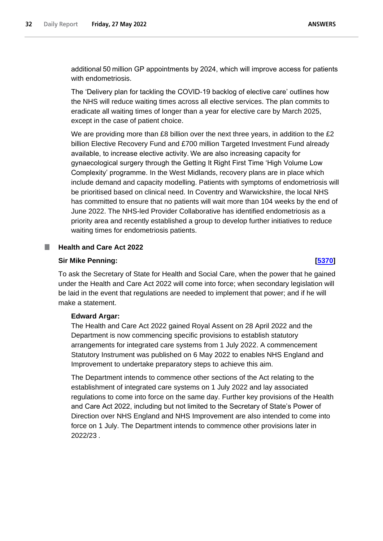additional 50 million GP appointments by 2024, which will improve access for patients with endometriosis.

The 'Delivery plan for tackling the COVID-19 backlog of elective care' outlines how the NHS will reduce waiting times across all elective services. The plan commits to eradicate all waiting times of longer than a year for elective care by March 2025, except in the case of patient choice.

We are providing more than £8 billion over the next three years, in addition to the £2 billion Elective Recovery Fund and £700 million Targeted Investment Fund already available, to increase elective activity. We are also increasing capacity for gynaecological surgery through the Getting It Right First Time 'High Volume Low Complexity' programme. In the West Midlands, recovery plans are in place which include demand and capacity modelling. Patients with symptoms of endometriosis will be prioritised based on clinical need. In Coventry and Warwickshire, the local NHS has committed to ensure that no patients will wait more than 104 weeks by the end of June 2022. The NHS-led Provider Collaborative has identified endometriosis as a priority area and recently established a group to develop further initiatives to reduce waiting times for endometriosis patients.

## <span id="page-31-0"></span>**Health and Care Act 2022**

### **Sir Mike Penning: [\[5370\]](http://www.parliament.uk/business/publications/written-questions-answers-statements/written-question/Commons/2022-05-19/5370)**

To ask the Secretary of State for Health and Social Care, when the power that he gained under the Health and Care Act 2022 will come into force; when secondary legislation will be laid in the event that regulations are needed to implement that power; and if he will make a statement.

## **Edward Argar:**

The Health and Care Act 2022 gained Royal Assent on 28 April 2022 and the Department is now commencing specific provisions to establish statutory arrangements for integrated care systems from 1 July 2022. A commencement Statutory Instrument was published on 6 May 2022 to enables NHS England and Improvement to undertake preparatory steps to achieve this aim.

The Department intends to commence other sections of the Act relating to the establishment of integrated care systems on 1 July 2022 and lay associated regulations to come into force on the same day. Further key provisions of the Health and Care Act 2022, including but not limited to the Secretary of State's Power of Direction over NHS England and NHS Improvement are also intended to come into force on 1 July. The Department intends to commence other provisions later in 2022/23 *.*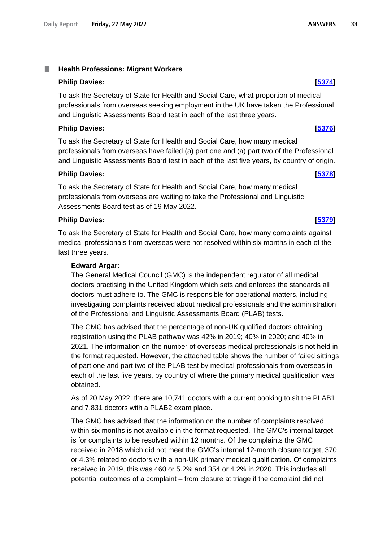#### <span id="page-32-0"></span>T. **Health Professions: Migrant Workers**

#### **Philip Davies: [\[5374\]](http://www.parliament.uk/business/publications/written-questions-answers-statements/written-question/Commons/2022-05-19/5374)**

To ask the Secretary of State for Health and Social Care, what proportion of medical professionals from overseas seeking employment in the UK have taken the Professional and Linguistic Assessments Board test in each of the last three years.

### **Philip Davies: [\[5376\]](http://www.parliament.uk/business/publications/written-questions-answers-statements/written-question/Commons/2022-05-19/5376)**

To ask the Secretary of State for Health and Social Care, how many medical professionals from overseas have failed (a) part one and (a) part two of the Professional and Linguistic Assessments Board test in each of the last five years, by country of origin.

#### **Philip Davies: [\[5378\]](http://www.parliament.uk/business/publications/written-questions-answers-statements/written-question/Commons/2022-05-19/5378)**

To ask the Secretary of State for Health and Social Care, how many medical professionals from overseas are waiting to take the Professional and Linguistic Assessments Board test as of 19 May 2022.

#### **Philip Davies: [\[5379\]](http://www.parliament.uk/business/publications/written-questions-answers-statements/written-question/Commons/2022-05-19/5379)**

To ask the Secretary of State for Health and Social Care, how many complaints against medical professionals from overseas were not resolved within six months in each of the last three years.

#### **Edward Argar:**

The General Medical Council (GMC) is the independent regulator of all medical doctors practising in the United Kingdom which sets and enforces the standards all doctors must adhere to. The GMC is responsible for operational matters, including investigating complaints received about medical professionals and the administration of the Professional and Linguistic Assessments Board (PLAB) tests.

The GMC has advised that the percentage of non-UK qualified doctors obtaining registration using the PLAB pathway was 42% in 2019; 40% in 2020; and 40% in 2021. The information on the number of overseas medical professionals is not held in the format requested. However, the attached table shows the number of failed sittings of part one and part two of the PLAB test by medical professionals from overseas in each of the last five years, by country of where the primary medical qualification was obtained.

As of 20 May 2022, there are 10,741 doctors with a current booking to sit the PLAB1 and 7,831 doctors with a PLAB2 exam place.

The GMC has advised that the information on the number of complaints resolved within six months is not available in the format requested. The GMC's internal target is for complaints to be resolved within 12 months. Of the complaints the GMC received in 2018 which did not meet the GMC's internal 12-month closure target, 370 or 4.3% related to doctors with a non-UK primary medical qualification. Of complaints received in 2019, this was 460 or 5.2% and 354 or 4.2% in 2020. This includes all potential outcomes of a complaint – from closure at triage if the complaint did not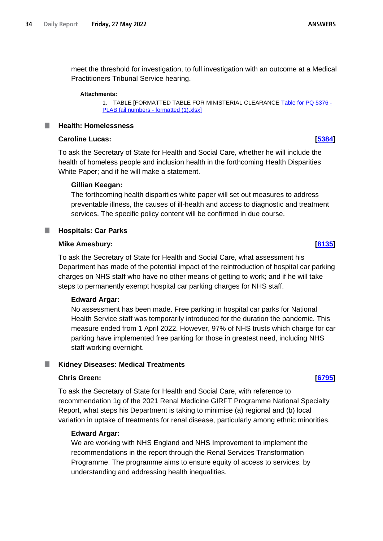meet the threshold for investigation, to full investigation with an outcome at a Medical Practitioners Tribunal Service hearing.

#### **Attachments:**

1. TABLE [FORMATTED TABLE FOR MINISTERIAL CLEARANCE [Table for PQ 5376 -](https://qna.files.parliament.uk/qna-attachments/1464405/original/FORMATTED%20TABLE%20FOR%20MINISTERIAL%20CLEARANCE%20Table%20for%20PQ%205376%20-%20PLAB%20fail%20numbers%20-%20formatted%20(1).xlsx) [PLAB fail numbers -](https://qna.files.parliament.uk/qna-attachments/1464405/original/FORMATTED%20TABLE%20FOR%20MINISTERIAL%20CLEARANCE%20Table%20for%20PQ%205376%20-%20PLAB%20fail%20numbers%20-%20formatted%20(1).xlsx) formatted (1).xlsx]

#### <span id="page-33-0"></span>**Health: Homelessness**

#### **Caroline Lucas: [\[5384\]](http://www.parliament.uk/business/publications/written-questions-answers-statements/written-question/Commons/2022-05-19/5384)**

To ask the Secretary of State for Health and Social Care, whether he will include the health of homeless people and inclusion health in the forthcoming Health Disparities White Paper; and if he will make a statement.

#### **Gillian Keegan:**

The forthcoming health disparities white paper will set out measures to address preventable illness, the causes of ill-health and access to diagnostic and treatment services. The specific policy content will be confirmed in due course.

### <span id="page-33-1"></span>**Hospitals: Car Parks**

### **Mike Amesbury: [\[8135\]](http://www.parliament.uk/business/publications/written-questions-answers-statements/written-question/Commons/2022-05-24/8135)**

To ask the Secretary of State for Health and Social Care, what assessment his Department has made of the potential impact of the reintroduction of hospital car parking charges on NHS staff who have no other means of getting to work; and if he will take steps to permanently exempt hospital car parking charges for NHS staff.

#### **Edward Argar:**

No assessment has been made. Free parking in hospital car parks for National Health Service staff was temporarily introduced for the duration the pandemic. This measure ended from 1 April 2022. However, 97% of NHS trusts which charge for car parking have implemented free parking for those in greatest need, including NHS staff working overnight.

#### <span id="page-33-2"></span>**Kidney Diseases: Medical Treatments**

### **Chris Green: [\[6795\]](http://www.parliament.uk/business/publications/written-questions-answers-statements/written-question/Commons/2022-05-23/6795)**

To ask the Secretary of State for Health and Social Care, with reference to recommendation 1g of the 2021 Renal Medicine GIRFT Programme National Specialty Report, what steps his Department is taking to minimise (a) regional and (b) local variation in uptake of treatments for renal disease, particularly among ethnic minorities.

#### **Edward Argar:**

We are working with NHS England and NHS Improvement to implement the recommendations in the report through the Renal Services Transformation Programme. The programme aims to ensure equity of access to services, by understanding and addressing health inequalities.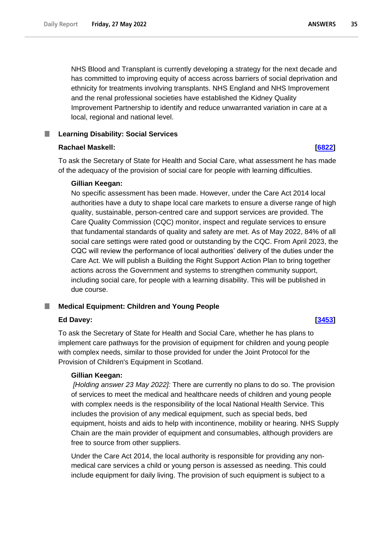NHS Blood and Transplant is currently developing a strategy for the next decade and has committed to improving equity of access across barriers of social deprivation and ethnicity for treatments involving transplants. NHS England and NHS Improvement and the renal professional societies have established the Kidney Quality Improvement Partnership to identify and reduce unwarranted variation in care at a local, regional and national level.

#### <span id="page-34-0"></span>**Learning Disability: Social Services** L.

## **Rachael Maskell: [\[6822\]](http://www.parliament.uk/business/publications/written-questions-answers-statements/written-question/Commons/2022-05-23/6822)**

To ask the Secretary of State for Health and Social Care, what assessment he has made of the adequacy of the provision of social care for people with learning difficulties.

## **Gillian Keegan:**

No specific assessment has been made. However, under the Care Act 2014 local authorities have a duty to shape local care markets to ensure a diverse range of high quality, sustainable, person-centred care and support services are provided. The Care Quality Commission (CQC) monitor, inspect and regulate services to ensure that fundamental standards of quality and safety are met. As of May 2022, 84% of all social care settings were rated good or outstanding by the CQC. From April 2023, the CQC will review the performance of local authorities' delivery of the duties under the Care Act. We will publish a Building the Right Support Action Plan to bring together actions across the Government and systems to strengthen community support, including social care, for people with a learning disability. This will be published in due course.

## <span id="page-34-1"></span>**Medical Equipment: Children and Young People**

## **Ed Davey: [\[3453\]](http://www.parliament.uk/business/publications/written-questions-answers-statements/written-question/Commons/2022-05-17/3453)**

To ask the Secretary of State for Health and Social Care, whether he has plans to implement care pathways for the provision of equipment for children and young people with complex needs, similar to those provided for under the Joint Protocol for the Provision of Children's Equipment in Scotland.

## **Gillian Keegan:**

*[Holding answer 23 May 2022]:* There are currently no plans to do so. The provision of services to meet the medical and healthcare needs of children and young people with complex needs is the responsibility of the local National Health Service. This includes the provision of any medical equipment, such as special beds, bed equipment, hoists and aids to help with incontinence, mobility or hearing. NHS Supply Chain are the main provider of equipment and consumables, although providers are free to source from other suppliers.

Under the Care Act 2014, the local authority is responsible for providing any nonmedical care services a child or young person is assessed as needing. This could include equipment for daily living. The provision of such equipment is subject to a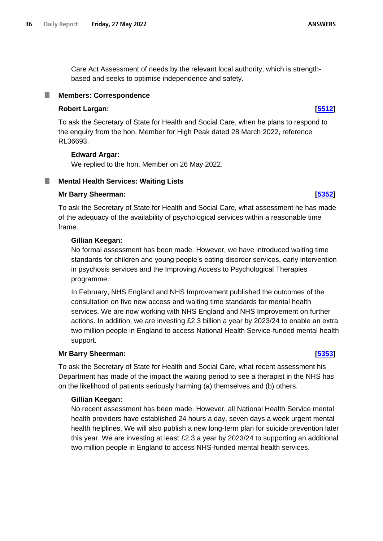Care Act Assessment of needs by the relevant local authority, which is strengthbased and seeks to optimise independence and safety.

## <span id="page-35-0"></span>**Members: Correspondence**

### **Robert Largan: [\[5512\]](http://www.parliament.uk/business/publications/written-questions-answers-statements/written-question/Commons/2022-05-19/5512)**

To ask the Secretary of State for Health and Social Care, when he plans to respond to the enquiry from the hon. Member for High Peak dated 28 March 2022, reference RL36693.

### **Edward Argar:**

We replied to the hon. Member on 26 May 2022.

#### <span id="page-35-1"></span>**Mental Health Services: Waiting Lists** T.

### **Mr Barry Sheerman: [\[5352\]](http://www.parliament.uk/business/publications/written-questions-answers-statements/written-question/Commons/2022-05-19/5352)**

To ask the Secretary of State for Health and Social Care, what assessment he has made of the adequacy of the availability of psychological services within a reasonable time frame.

### **Gillian Keegan:**

No formal assessment has been made. However, we have introduced waiting time standards for children and young people's eating disorder services, early intervention in psychosis services and the Improving Access to Psychological Therapies programme.

In February, NHS England and NHS Improvement published the outcomes of the consultation on five new access and waiting time standards for mental health services. We are now working with NHS England and NHS Improvement on further actions. In addition, we are investing £2.3 billion a year by 2023/24 to enable an extra two million people in England to access National Health Service-funded mental health support.

## **Mr Barry Sheerman: [\[5353\]](http://www.parliament.uk/business/publications/written-questions-answers-statements/written-question/Commons/2022-05-19/5353)**

To ask the Secretary of State for Health and Social Care, what recent assessment his Department has made of the impact the waiting period to see a therapist in the NHS has on the likelihood of patients seriously harming (a) themselves and (b) others.

## **Gillian Keegan:**

No recent assessment has been made. However, all National Health Service mental health providers have established 24 hours a day, seven days a week urgent mental health helplines. We will also publish a new long-term plan for suicide prevention later this year. We are investing at least £2.3 a year by 2023/24 to supporting an additional two million people in England to access NHS-funded mental health services.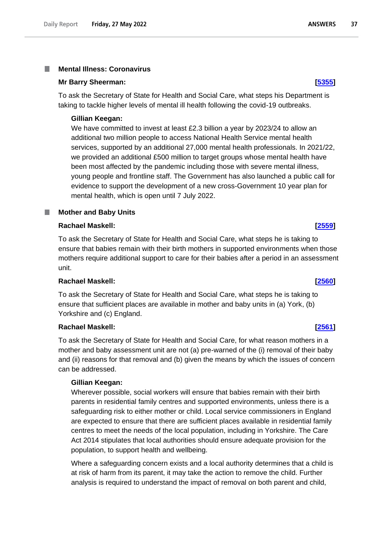#### <span id="page-36-0"></span>**Mental Illness: Coronavirus** I.

#### **Mr Barry Sheerman: [\[5355\]](http://www.parliament.uk/business/publications/written-questions-answers-statements/written-question/Commons/2022-05-19/5355)**

To ask the Secretary of State for Health and Social Care, what steps his Department is taking to tackle higher levels of mental ill health following the covid-19 outbreaks.

### **Gillian Keegan:**

We have committed to invest at least £2.3 billion a year by 2023/24 to allow an additional two million people to access National Health Service mental health services, supported by an additional 27,000 mental health professionals. In 2021/22, we provided an additional £500 million to target groups whose mental health have been most affected by the pandemic including those with severe mental illness, young people and frontline staff. The Government has also launched a public call for evidence to support the development of a new cross-Government 10 year plan for mental health, which is open until 7 July 2022.

### <span id="page-36-1"></span>**Mother and Baby Units**

### **Rachael Maskell: [\[2559\]](http://www.parliament.uk/business/publications/written-questions-answers-statements/written-question/Commons/2022-05-16/2559)**

To ask the Secretary of State for Health and Social Care, what steps he is taking to ensure that babies remain with their birth mothers in supported environments when those mothers require additional support to care for their babies after a period in an assessment unit.

### **Rachael Maskell: [\[2560\]](http://www.parliament.uk/business/publications/written-questions-answers-statements/written-question/Commons/2022-05-16/2560)**

To ask the Secretary of State for Health and Social Care, what steps he is taking to ensure that sufficient places are available in mother and baby units in (a) York, (b) Yorkshire and (c) England.

### **Rachael Maskell: [\[2561\]](http://www.parliament.uk/business/publications/written-questions-answers-statements/written-question/Commons/2022-05-16/2561)**

To ask the Secretary of State for Health and Social Care, for what reason mothers in a mother and baby assessment unit are not (a) pre-warned of the (i) removal of their baby and (ii) reasons for that removal and (b) given the means by which the issues of concern can be addressed.

## **Gillian Keegan:**

Wherever possible, social workers will ensure that babies remain with their birth parents in residential family centres and supported environments, unless there is a safeguarding risk to either mother or child. Local service commissioners in England are expected to ensure that there are sufficient places available in residential family centres to meet the needs of the local population, including in Yorkshire. The Care Act 2014 stipulates that local authorities should ensure adequate provision for the population, to support health and wellbeing.

Where a safeguarding concern exists and a local authority determines that a child is at risk of harm from its parent, it may take the action to remove the child. Further analysis is required to understand the impact of removal on both parent and child,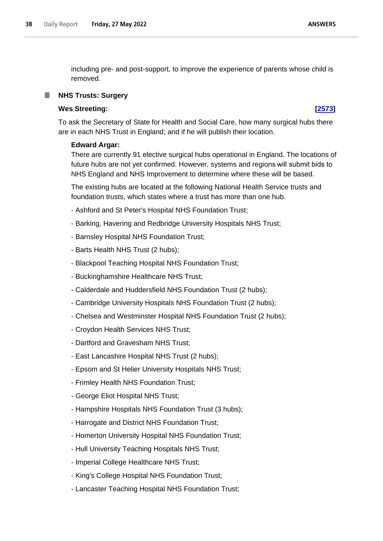**ANSWERS** 

including pre- and post-support, to improve the experience of parents whose child is removed.

## <span id="page-37-0"></span>**NHS Trusts: Surgery**

## **Wes Streeting: [\[2573\]](http://www.parliament.uk/business/publications/written-questions-answers-statements/written-question/Commons/2022-05-16/2573)**

To ask the Secretary of State for Health and Social Care, how many surgical hubs there are in each NHS Trust in England; and if he will publish their location.

### **Edward Argar:**

There are currently 91 elective surgical hubs operational in England. The locations of future hubs are not yet confirmed. However, systems and regions will submit bids to NHS England and NHS Improvement to determine where these will be based.

The existing hubs are located at the following National Health Service trusts and foundation trusts, which states where a trust has more than one hub.

- Ashford and St Peter's Hospital NHS Foundation Trust;
- Barking, Havering and Redbridge University Hospitals NHS Trust;
- Barnsley Hospital NHS Foundation Trust;
- Barts Health NHS Trust (2 hubs);
- Blackpool Teaching Hospital NHS Foundation Trust;
- Buckinghamshire Healthcare NHS Trust;
- Calderdale and Huddersfield NHS Foundation Trust (2 hubs);
- Cambridge University Hospitals NHS Foundation Trust (2 hubs);
- Chelsea and Westminster Hospital NHS Foundation Trust (2 hubs);
- Croydon Health Services NHS Trust;
- Dartford and Gravesham NHS Trust;
- East Lancashire Hospital NHS Trust (2 hubs);
- Epsom and St Helier University Hospitals NHS Trust;
- Frimley Health NHS Foundation Trust;
- George Eliot Hospital NHS Trust;
- Hampshire Hospitals NHS Foundation Trust (3 hubs);
- Harrogate and District NHS Foundation Trust;
- Homerton University Hospital NHS Foundation Trust;
- Hull University Teaching Hospitals NHS Trust;
- Imperial College Healthcare NHS Trust;
- King's College Hospital NHS Foundation Trust;
- Lancaster Teaching Hospital NHS Foundation Trust;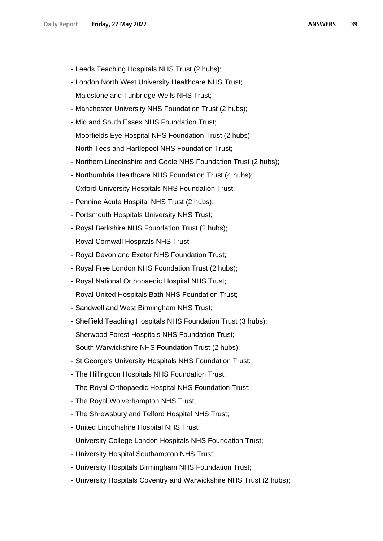- Leeds Teaching Hospitals NHS Trust (2 hubs);
- London North West University Healthcare NHS Trust;
- Maidstone and Tunbridge Wells NHS Trust;
- Manchester University NHS Foundation Trust (2 hubs);
- Mid and South Essex NHS Foundation Trust;
- Moorfields Eye Hospital NHS Foundation Trust (2 hubs);
- North Tees and Hartlepool NHS Foundation Trust;
- Northern Lincolnshire and Goole NHS Foundation Trust (2 hubs);
- Northumbria Healthcare NHS Foundation Trust (4 hubs);
- Oxford University Hospitals NHS Foundation Trust;
- Pennine Acute Hospital NHS Trust (2 hubs);
- Portsmouth Hospitals University NHS Trust;
- Royal Berkshire NHS Foundation Trust (2 hubs);
- Royal Cornwall Hospitals NHS Trust;
- Royal Devon and Exeter NHS Foundation Trust;
- Royal Free London NHS Foundation Trust (2 hubs);
- Royal National Orthopaedic Hospital NHS Trust;
- Royal United Hospitals Bath NHS Foundation Trust;
- Sandwell and West Birmingham NHS Trust;
- Sheffield Teaching Hospitals NHS Foundation Trust (3 hubs);
- Sherwood Forest Hospitals NHS Foundation Trust;
- South Warwickshire NHS Foundation Trust (2 hubs);
- St George's University Hospitals NHS Foundation Trust;
- The Hillingdon Hospitals NHS Foundation Trust;
- The Royal Orthopaedic Hospital NHS Foundation Trust;
- The Royal Wolverhampton NHS Trust;
- The Shrewsbury and Telford Hospital NHS Trust;
- United Lincolnshire Hospital NHS Trust;
- University College London Hospitals NHS Foundation Trust;
- University Hospital Southampton NHS Trust;
- University Hospitals Birmingham NHS Foundation Trust;
- University Hospitals Coventry and Warwickshire NHS Trust (2 hubs);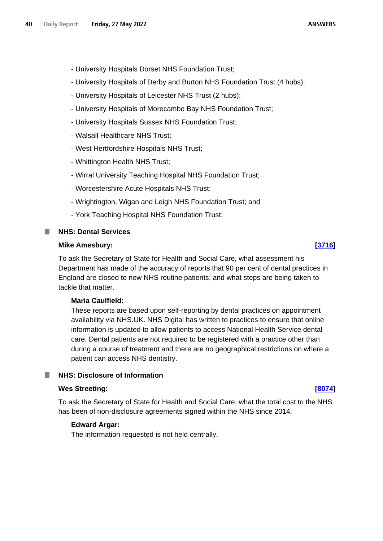- University Hospitals of Derby and Burton NHS Foundation Trust (4 hubs);
- University Hospitals of Leicester NHS Trust (2 hubs);
- University Hospitals of Morecambe Bay NHS Foundation Trust;
- University Hospitals Sussex NHS Foundation Trust;
- Walsall Healthcare NHS Trust;
- West Hertfordshire Hospitals NHS Trust;
- Whittington Health NHS Trust;
- Wirral University Teaching Hospital NHS Foundation Trust;
- Worcestershire Acute Hospitals NHS Trust;
- Wrightington, Wigan and Leigh NHS Foundation Trust; and
- York Teaching Hospital NHS Foundation Trust;

#### <span id="page-39-0"></span>**NHS: Dental Services** T.

#### **Mike Amesbury: [\[3716\]](http://www.parliament.uk/business/publications/written-questions-answers-statements/written-question/Commons/2022-05-17/3716)**

To ask the Secretary of State for Health and Social Care, what assessment his Department has made of the accuracy of reports that 90 per cent of dental practices in England are closed to new NHS routine patients; and what steps are being taken to tackle that matter.

### **Maria Caulfield:**

These reports are based upon self-reporting by dental practices on appointment availability via NHS.UK. NHS Digital has written to practices to ensure that online information is updated to allow patients to access National Health Service dental care. Dental patients are not required to be registered with a practice other than during a course of treatment and there are no geographical restrictions on where a patient can access NHS dentistry.

### <span id="page-39-1"></span>**NHS: Disclosure of Information**

#### **Wes Streeting: [\[8074\]](http://www.parliament.uk/business/publications/written-questions-answers-statements/written-question/Commons/2022-05-24/8074)**

To ask the Secretary of State for Health and Social Care, what the total cost to the NHS has been of non-disclosure agreements signed within the NHS since 2014.

### **Edward Argar:**

The information requested is not held centrally.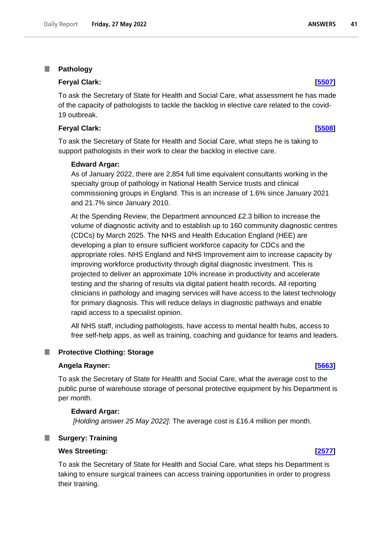#### <span id="page-40-0"></span>T. **Pathology**

#### **Feryal Clark: [\[5507\]](http://www.parliament.uk/business/publications/written-questions-answers-statements/written-question/Commons/2022-05-19/5507)**

To ask the Secretary of State for Health and Social Care, what assessment he has made of the capacity of pathologists to tackle the backlog in elective care related to the covid-19 outbreak.

#### **Feryal Clark: [\[5508\]](http://www.parliament.uk/business/publications/written-questions-answers-statements/written-question/Commons/2022-05-19/5508)**

To ask the Secretary of State for Health and Social Care, what steps he is taking to support pathologists in their work to clear the backlog in elective care.

#### **Edward Argar:**

As of January 2022, there are 2,854 full time equivalent consultants working in the specialty group of pathology in National Health Service trusts and clinical commissioning groups in England. This is an increase of 1.6% since January 2021 and 21.7% since January 2010.

At the Spending Review, the Department announced £2.3 billion to increase the volume of diagnostic activity and to establish up to 160 community diagnostic centres (CDCs) by March 2025. The NHS and Health Education England (HEE) are developing a plan to ensure sufficient workforce capacity for CDCs and the appropriate roles. NHS England and NHS Improvement aim to increase capacity by improving workforce productivity through digital diagnostic investment. This is projected to deliver an approximate 10% increase in productivity and accelerate testing and the sharing of results via digital patient health records. All reporting clinicians in pathology and imaging services will have access to the latest technology for primary diagnosis. This will reduce delays in diagnostic pathways and enable rapid access to a specialist opinion.

All NHS staff, including pathologists, have access to mental health hubs, access to free self-help apps, as well as training, coaching and guidance for teams and leaders.

#### <span id="page-40-1"></span>**Protective Clothing: Storage** ш

#### **Angela Rayner: [\[5663\]](http://www.parliament.uk/business/publications/written-questions-answers-statements/written-question/Commons/2022-05-20/5663)**

To ask the Secretary of State for Health and Social Care, what the average cost to the public purse of warehouse storage of personal protective equipment by his Department is per month.

#### **Edward Argar:**

*[Holding answer 25 May 2022]:* The average cost is £16.4 million per month.

#### <span id="page-40-2"></span>**Surgery: Training**

#### **Wes Streeting: [\[2577\]](http://www.parliament.uk/business/publications/written-questions-answers-statements/written-question/Commons/2022-05-16/2577)**

To ask the Secretary of State for Health and Social Care, what steps his Department is taking to ensure surgical trainees can access training opportunities in order to progress their training.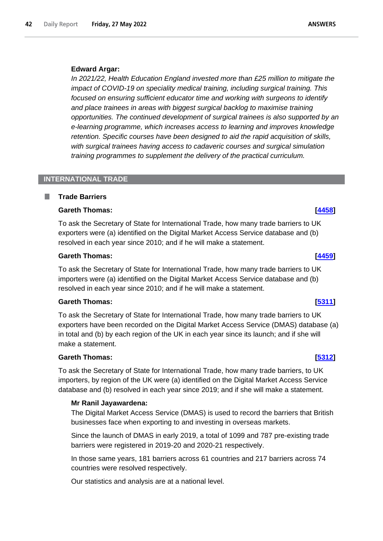### **Edward Argar:**

*In 2021/22, Health Education England invested more than £25 million to mitigate the impact of COVID-19 on speciality medical training, including surgical training. This focused on ensuring sufficient educator time and working with surgeons to identify and place trainees in areas with biggest surgical backlog to maximise training opportunities. The continued development of surgical trainees is also supported by an e-learning programme, which increases access to learning and improves knowledge retention. Specific courses have been designed to aid the rapid acquisition of skills, with surgical trainees having access to cadaveric courses and surgical simulation training programmes to supplement the delivery of the practical curriculum.*

## <span id="page-41-0"></span>**INTERNATIONAL TRADE**

### <span id="page-41-1"></span>**Trade Barriers**

### **Gareth Thomas:** *A458*

To ask the Secretary of State for International Trade, how many trade barriers to UK exporters were (a) identified on the Digital Market Access Service database and (b) resolved in each year since 2010; and if he will make a statement.

### **Gareth Thomas: [\[4459\]](http://www.parliament.uk/business/publications/written-questions-answers-statements/written-question/Commons/2022-05-18/4459)**

To ask the Secretary of State for International Trade, how many trade barriers to UK importers were (a) identified on the Digital Market Access Service database and (b) resolved in each year since 2010; and if he will make a statement.

## **Gareth Thomas: [\[5311\]](http://www.parliament.uk/business/publications/written-questions-answers-statements/written-question/Commons/2022-05-19/5311)**

To ask the Secretary of State for International Trade, how many trade barriers to UK exporters have been recorded on the Digital Market Access Service (DMAS) database (a) in total and (b) by each region of the UK in each year since its launch; and if she will make a statement.

## **Gareth Thomas: [\[5312\]](http://www.parliament.uk/business/publications/written-questions-answers-statements/written-question/Commons/2022-05-19/5312)**

To ask the Secretary of State for International Trade, how many trade barriers, to UK importers, by region of the UK were (a) identified on the Digital Market Access Service database and (b) resolved in each year since 2019; and if she will make a statement.

## **Mr Ranil Jayawardena:**

The Digital Market Access Service (DMAS) is used to record the barriers that British businesses face when exporting to and investing in overseas markets.

Since the launch of DMAS in early 2019, a total of 1099 and 787 pre-existing trade barriers were registered in 2019-20 and 2020-21 respectively.

In those same years, 181 barriers across 61 countries and 217 barriers across 74 countries were resolved respectively.

Our statistics and analysis are at a national level.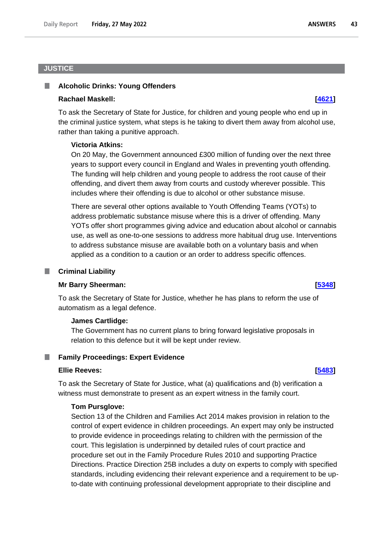## <span id="page-42-0"></span>**JUSTICE**

#### <span id="page-42-1"></span>**Alcoholic Drinks: Young Offenders** ш

#### **Rachael Maskell: [\[4621\]](http://www.parliament.uk/business/publications/written-questions-answers-statements/written-question/Commons/2022-05-18/4621)**

To ask the Secretary of State for Justice, for children and young people who end up in the criminal justice system, what steps is he taking to divert them away from alcohol use, rather than taking a punitive approach.

#### **Victoria Atkins:**

On 20 May, the Government announced £300 million of funding over the next three years to support every council in England and Wales in preventing youth offending. The funding will help children and young people to address the root cause of their offending, and divert them away from courts and custody wherever possible. This includes where their offending is due to alcohol or other substance misuse.

There are several other options available to Youth Offending Teams (YOTs) to address problematic substance misuse where this is a driver of offending. Many YOTs offer short programmes giving advice and education about alcohol or cannabis use, as well as one-to-one sessions to address more habitual drug use. Interventions to address substance misuse are available both on a voluntary basis and when applied as a condition to a caution or an order to address specific offences.

#### <span id="page-42-2"></span>**Criminal Liability**

#### **Mr Barry Sheerman: [\[5348\]](http://www.parliament.uk/business/publications/written-questions-answers-statements/written-question/Commons/2022-05-19/5348)**

To ask the Secretary of State for Justice, whether he has plans to reform the use of automatism as a legal defence.

#### **James Cartlidge:**

The Government has no current plans to bring forward legislative proposals in relation to this defence but it will be kept under review.

#### <span id="page-42-3"></span>**Family Proceedings: Expert Evidence**

#### **Ellie Reeves: [\[5483\]](http://www.parliament.uk/business/publications/written-questions-answers-statements/written-question/Commons/2022-05-19/5483)**

To ask the Secretary of State for Justice, what (a) qualifications and (b) verification a witness must demonstrate to present as an expert witness in the family court.

#### **Tom Pursglove:**

Section 13 of the Children and Families Act 2014 makes provision in relation to the control of expert evidence in children proceedings. An expert may only be instructed to provide evidence in proceedings relating to children with the permission of the court. This legislation is underpinned by detailed rules of court practice and procedure set out in the Family Procedure Rules 2010 and supporting Practice Directions. Practice Direction 25B includes a duty on experts to comply with specified standards, including evidencing their relevant experience and a requirement to be upto-date with continuing professional development appropriate to their discipline and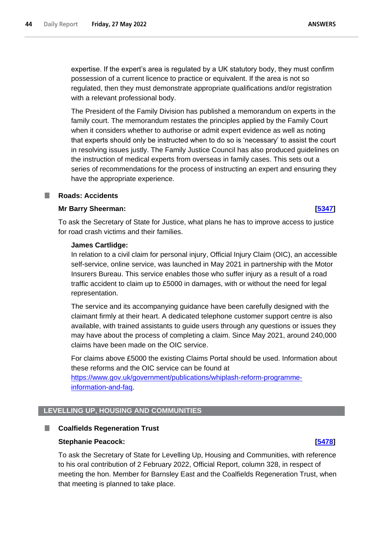expertise. If the expert's area is regulated by a UK statutory body, they must confirm possession of a current licence to practice or equivalent. If the area is not so regulated, then they must demonstrate appropriate qualifications and/or registration with a relevant professional body.

The President of the Family Division has published a memorandum on experts in the family court. The memorandum restates the principles applied by the Family Court when it considers whether to authorise or admit expert evidence as well as noting that experts should only be instructed when to do so is 'necessary' to assist the court in resolving issues justly. The Family Justice Council has also produced guidelines on the instruction of medical experts from overseas in family cases. This sets out a series of recommendations for the process of instructing an expert and ensuring they have the appropriate experience.

#### <span id="page-43-0"></span>**Roads: Accidents** a a s

#### **Mr Barry Sheerman: [\[5347\]](http://www.parliament.uk/business/publications/written-questions-answers-statements/written-question/Commons/2022-05-19/5347)**

To ask the Secretary of State for Justice, what plans he has to improve access to justice for road crash victims and their families.

#### **James Cartlidge:**

In relation to a civil claim for personal injury, Official Injury Claim (OIC), an accessible self-service, online service, was launched in May 2021 in partnership with the Motor Insurers Bureau. This service enables those who suffer injury as a result of a road traffic accident to claim up to £5000 in damages, with or without the need for legal representation.

The service and its accompanying guidance have been carefully designed with the claimant firmly at their heart. A dedicated telephone customer support centre is also available, with trained assistants to guide users through any questions or issues they may have about the process of completing a claim. Since May 2021, around 240,000 claims have been made on the OIC service.

For claims above £5000 the existing Claims Portal should be used. Information about these reforms and the OIC service can be found at

[https://www.gov.uk/government/publications/whiplash-reform-programme](https://www.gov.uk/government/publications/whiplash-reform-programme-information-and-faq)[information-and-faq.](https://www.gov.uk/government/publications/whiplash-reform-programme-information-and-faq)

## <span id="page-43-1"></span>**LEVELLING UP, HOUSING AND COMMUNITIES**

#### <span id="page-43-2"></span>**Coalfields Regeneration Trust**

#### **Stephanie Peacock: [\[5478\]](http://www.parliament.uk/business/publications/written-questions-answers-statements/written-question/Commons/2022-05-19/5478)**

To ask the Secretary of State for Levelling Up, Housing and Communities, with reference to his oral contribution of 2 February 2022, Official Report, column 328, in respect of meeting the hon. Member for Barnsley East and the Coalfields Regeneration Trust, when that meeting is planned to take place.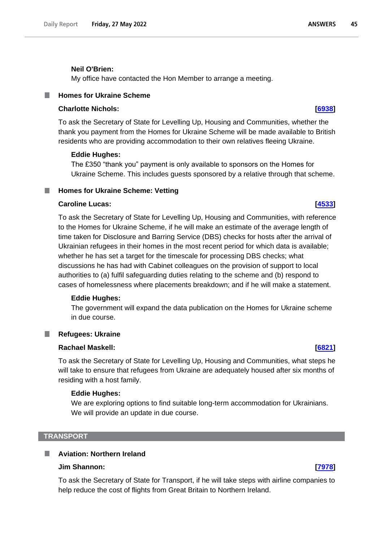#### **Neil O'Brien:**

My office have contacted the Hon Member to arrange a meeting.

#### <span id="page-44-0"></span>**Homes for Ukraine Scheme**

### **Charlotte Nichols: [\[6938\]](http://www.parliament.uk/business/publications/written-questions-answers-statements/written-question/Commons/2022-05-23/6938)**

To ask the Secretary of State for Levelling Up, Housing and Communities, whether the thank you payment from the Homes for Ukraine Scheme will be made available to British residents who are providing accommodation to their own relatives fleeing Ukraine.

#### **Eddie Hughes:**

The £350 "thank you" payment is only available to sponsors on the Homes for Ukraine Scheme. This includes guests sponsored by a relative through that scheme.

#### <span id="page-44-1"></span>**Homes for Ukraine Scheme: Vetting**

#### **Caroline Lucas: [\[4533\]](http://www.parliament.uk/business/publications/written-questions-answers-statements/written-question/Commons/2022-05-18/4533)**

To ask the Secretary of State for Levelling Up, Housing and Communities, with reference to the Homes for Ukraine Scheme, if he will make an estimate of the average length of time taken for Disclosure and Barring Service (DBS) checks for hosts after the arrival of Ukrainian refugees in their homes in the most recent period for which data is available; whether he has set a target for the timescale for processing DBS checks; what discussions he has had with Cabinet colleagues on the provision of support to local authorities to (a) fulfil safeguarding duties relating to the scheme and (b) respond to cases of homelessness where placements breakdown; and if he will make a statement.

#### **Eddie Hughes:**

The government will expand the data publication on the Homes for Ukraine scheme in due course.

# **Refugees: Ukraine**

<span id="page-44-2"></span>.

### **Rachael Maskell: [\[6821\]](http://www.parliament.uk/business/publications/written-questions-answers-statements/written-question/Commons/2022-05-23/6821)**

To ask the Secretary of State for Levelling Up, Housing and Communities, what steps he will take to ensure that refugees from Ukraine are adequately housed after six months of residing with a host family.

#### **Eddie Hughes:**

We are exploring options to find suitable long-term accommodation for Ukrainians. We will provide an update in due course.

#### <span id="page-44-3"></span>**TRANSPORT**

## <span id="page-44-4"></span>**Aviation: Northern Ireland**

## **Jim Shannon: [\[7978\]](http://www.parliament.uk/business/publications/written-questions-answers-statements/written-question/Commons/2022-05-24/7978)**

To ask the Secretary of State for Transport, if he will take steps with airline companies to help reduce the cost of flights from Great Britain to Northern Ireland.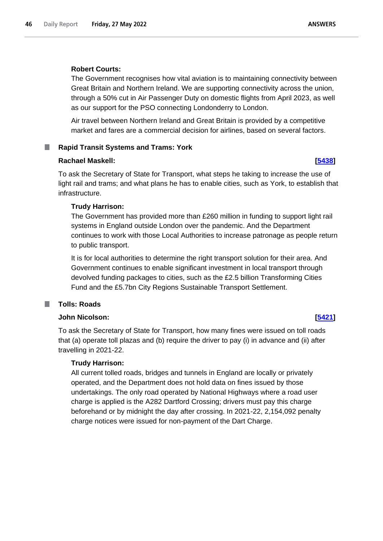### **Robert Courts:**

The Government recognises how vital aviation is to maintaining connectivity between Great Britain and Northern Ireland. We are supporting connectivity across the union, through a 50% cut in Air Passenger Duty on domestic flights from April 2023, as well as our support for the PSO connecting Londonderry to London.

Air travel between Northern Ireland and Great Britain is provided by a competitive market and fares are a commercial decision for airlines, based on several factors.

## <span id="page-45-0"></span>**Rapid Transit Systems and Trams: York**

### **Rachael Maskell: [\[5438\]](http://www.parliament.uk/business/publications/written-questions-answers-statements/written-question/Commons/2022-05-19/5438)**

To ask the Secretary of State for Transport, what steps he taking to increase the use of light rail and trams; and what plans he has to enable cities, such as York, to establish that infrastructure.

### **Trudy Harrison:**

The Government has provided more than £260 million in funding to support light rail systems in England outside London over the pandemic. And the Department continues to work with those Local Authorities to increase patronage as people return to public transport.

It is for local authorities to determine the right transport solution for their area. And Government continues to enable significant investment in local transport through devolved funding packages to cities, such as the £2.5 billion Transforming Cities Fund and the £5.7bn City Regions Sustainable Transport Settlement.

#### <span id="page-45-1"></span>**Tolls: Roads** a an

### **John Nicolson: [\[5421\]](http://www.parliament.uk/business/publications/written-questions-answers-statements/written-question/Commons/2022-05-19/5421)**

To ask the Secretary of State for Transport, how many fines were issued on toll roads that (a) operate toll plazas and (b) require the driver to pay (i) in advance and (ii) after travelling in 2021-22.

### **Trudy Harrison:**

All current tolled roads, bridges and tunnels in England are locally or privately operated, and the Department does not hold data on fines issued by those undertakings. The only road operated by National Highways where a road user charge is applied is the A282 Dartford Crossing; drivers must pay this charge beforehand or by midnight the day after crossing. In 2021-22, 2,154,092 penalty charge notices were issued for non-payment of the Dart Charge.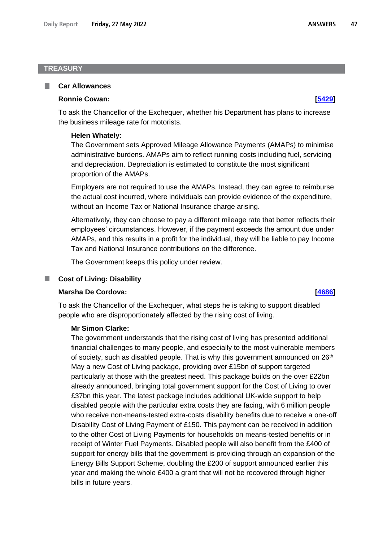## <span id="page-46-0"></span>**TREASURY**

#### <span id="page-46-1"></span>**Car Allowances**

#### **Ronnie Cowan: [\[5429\]](http://www.parliament.uk/business/publications/written-questions-answers-statements/written-question/Commons/2022-05-19/5429)**

To ask the Chancellor of the Exchequer, whether his Department has plans to increase the business mileage rate for motorists.

#### **Helen Whately:**

The Government sets Approved Mileage Allowance Payments (AMAPs) to minimise administrative burdens. AMAPs aim to reflect running costs including fuel, servicing and depreciation. Depreciation is estimated to constitute the most significant proportion of the AMAPs.

Employers are not required to use the AMAPs. Instead, they can agree to reimburse the actual cost incurred, where individuals can provide evidence of the expenditure, without an Income Tax or National Insurance charge arising.

Alternatively, they can choose to pay a different mileage rate that better reflects their employees' circumstances. However, if the payment exceeds the amount due under AMAPs, and this results in a profit for the individual, they will be liable to pay Income Tax and National Insurance contributions on the difference.

The Government keeps this policy under review.

### **Cost of Living: Disability**

### **Marsha De Cordova: [\[4686\]](http://www.parliament.uk/business/publications/written-questions-answers-statements/written-question/Commons/2022-05-18/4686)**

<span id="page-46-2"></span>T.

To ask the Chancellor of the Exchequer, what steps he is taking to support disabled people who are disproportionately affected by the rising cost of living.

#### **Mr Simon Clarke:**

The government understands that the rising cost of living has presented additional financial challenges to many people, and especially to the most vulnerable members of society, such as disabled people. That is why this government announced on  $26<sup>th</sup>$ May a new Cost of Living package, providing over £15bn of support targeted particularly at those with the greatest need. This package builds on the over £22bn already announced, bringing total government support for the Cost of Living to over £37bn this year. The latest package includes additional UK-wide support to help disabled people with the particular extra costs they are facing, with 6 million people who receive non-means-tested extra-costs disability benefits due to receive a one-off Disability Cost of Living Payment of £150. This payment can be received in addition to the other Cost of Living Payments for households on means-tested benefits or in receipt of Winter Fuel Payments. Disabled people will also benefit from the £400 of support for energy bills that the government is providing through an expansion of the Energy Bills Support Scheme, doubling the £200 of support announced earlier this year and making the whole £400 a grant that will not be recovered through higher bills in future years.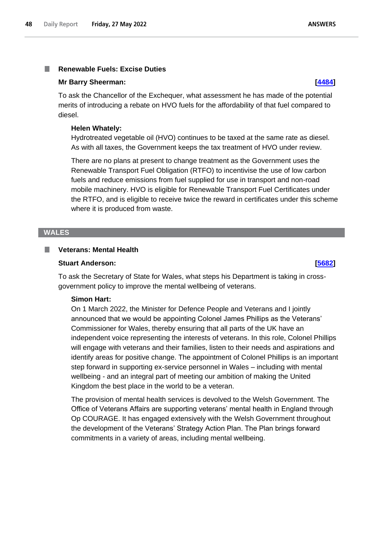#### <span id="page-47-0"></span>**Renewable Fuels: Excise Duties** I.

#### **Mr Barry Sheerman: [\[4484\]](http://www.parliament.uk/business/publications/written-questions-answers-statements/written-question/Commons/2022-05-18/4484)**

To ask the Chancellor of the Exchequer, what assessment he has made of the potential merits of introducing a rebate on HVO fuels for the affordability of that fuel compared to diesel.

#### **Helen Whately:**

Hydrotreated vegetable oil (HVO) continues to be taxed at the same rate as diesel. As with all taxes, the Government keeps the tax treatment of HVO under review.

There are no plans at present to change treatment as the Government uses the Renewable Transport Fuel Obligation (RTFO) to incentivise the use of low carbon fuels and reduce emissions from fuel supplied for use in transport and non-road mobile machinery. HVO is eligible for Renewable Transport Fuel Certificates under the RTFO, and is eligible to receive twice the reward in certificates under this scheme where it is produced from waste.

#### <span id="page-47-1"></span>**WALES**

#### <span id="page-47-2"></span>п **Veterans: Mental Health**

## **Stuart Anderson: [\[5682\]](http://www.parliament.uk/business/publications/written-questions-answers-statements/written-question/Commons/2022-05-20/5682)**

To ask the Secretary of State for Wales, what steps his Department is taking in crossgovernment policy to improve the mental wellbeing of veterans.

#### **Simon Hart:**

On 1 March 2022, the Minister for Defence People and Veterans and I jointly announced that we would be appointing Colonel James Phillips as the Veterans' Commissioner for Wales, thereby ensuring that all parts of the UK have an independent voice representing the interests of veterans. In this role, Colonel Phillips will engage with veterans and their families, listen to their needs and aspirations and identify areas for positive change. The appointment of Colonel Phillips is an important step forward in supporting ex-service personnel in Wales – including with mental wellbeing - and an integral part of meeting our ambition of making the United Kingdom the best place in the world to be a veteran.

The provision of mental health services is devolved to the Welsh Government. The Office of Veterans Affairs are supporting veterans' mental health in England through Op COURAGE. It has engaged extensively with the Welsh Government throughout the development of the Veterans' Strategy Action Plan. The Plan brings forward commitments in a variety of areas, including mental wellbeing.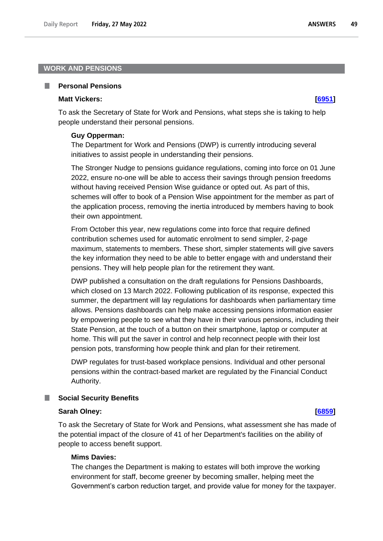### <span id="page-48-0"></span>**WORK AND PENSIONS**

#### <span id="page-48-1"></span>**Personal Pensions** a an

#### **Matt Vickers: [\[6951\]](http://www.parliament.uk/business/publications/written-questions-answers-statements/written-question/Commons/2022-05-23/6951)**

To ask the Secretary of State for Work and Pensions, what steps she is taking to help people understand their personal pensions.

#### **Guy Opperman:**

The Department for Work and Pensions (DWP) is currently introducing several initiatives to assist people in understanding their pensions.

The Stronger Nudge to pensions guidance regulations, coming into force on 01 June 2022, ensure no-one will be able to access their savings through pension freedoms without having received Pension Wise guidance or opted out. As part of this, schemes will offer to book of a Pension Wise appointment for the member as part of the application process, removing the inertia introduced by members having to book their own appointment.

From October this year, new regulations come into force that require defined contribution schemes used for automatic enrolment to send simpler, 2-page maximum, statements to members. These short, simpler statements will give savers the key information they need to be able to better engage with and understand their pensions. They will help people plan for the retirement they want.

DWP published a consultation on the draft regulations for Pensions Dashboards, which closed on 13 March 2022. Following publication of its response, expected this summer, the department will lay regulations for dashboards when parliamentary time allows. Pensions dashboards can help make accessing pensions information easier by empowering people to see what they have in their various pensions, including their State Pension, at the touch of a button on their smartphone, laptop or computer at home. This will put the saver in control and help reconnect people with their lost pension pots, transforming how people think and plan for their retirement.

DWP regulates for trust-based workplace pensions. Individual and other personal pensions within the contract-based market are regulated by the Financial Conduct Authority.

#### <span id="page-48-2"></span>ш **Social Security Benefits**

#### **Sarah Olney: [\[6859\]](http://www.parliament.uk/business/publications/written-questions-answers-statements/written-question/Commons/2022-05-23/6859)**

To ask the Secretary of State for Work and Pensions, what assessment she has made of the potential impact of the closure of 41 of her Department's facilities on the ability of people to access benefit support.

#### **Mims Davies:**

The changes the Department is making to estates will both improve the working environment for staff, become greener by becoming smaller, helping meet the Government's carbon reduction target, and provide value for money for the taxpayer.